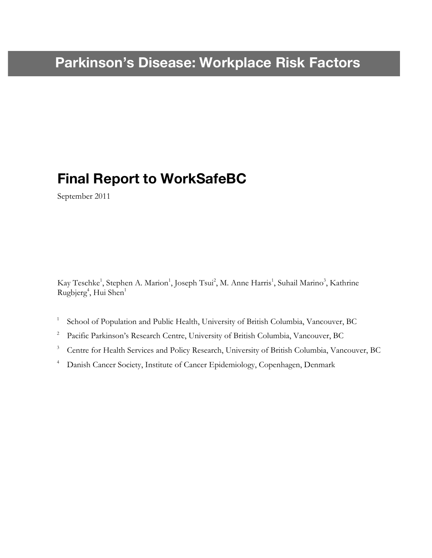## **Final Report to WorkSafeBC**

September 2011

Kay Teschke<sup>1</sup>, Stephen A. Marion<sup>1</sup>, Joseph Tsui<sup>2</sup>, M. Anne Harris<sup>1</sup>, Suhail Marino<sup>3</sup>, Kathrine Rugbjerg<sup>4</sup>, Hui Shen<sup>1</sup>

- <sup>1</sup> School of Population and Public Health, University of British Columbia, Vancouver, BC
- <sup>2</sup> Pacific Parkinson's Research Centre, University of British Columbia, Vancouver, BC
- <sup>3</sup> Centre for Health Services and Policy Research, University of British Columbia, Vancouver, BC
- <sup>4</sup> Danish Cancer Society, Institute of Cancer Epidemiology, Copenhagen, Denmark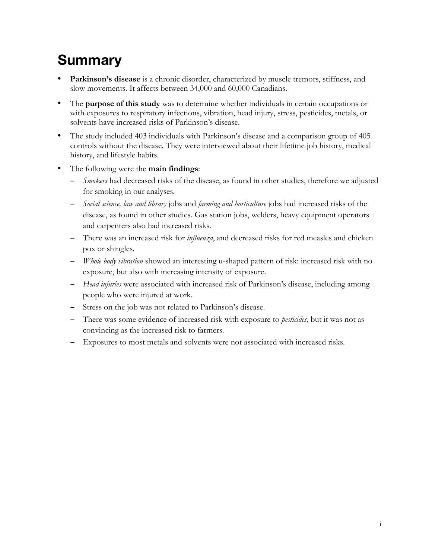# **Summary**

- Parkinson's disease is a chronic disorder, characterized by muscle tremors, stiffness, and slow movements. It affects between 34,000 and 60,000 Canadians.
- The **purpose of this study** was to determine whether individuals in certain occupations or with exposures to respiratory infections, vibration, head injury, stress, pesticides, metals, or solvents have increased risks of Parkinson's disease.
- The study included 403 individuals with Parkinson's disease and a comparison group of 405 controls without the disease. They were interviewed about their lifetime job history, medical history, and lifestyle habits.
- The following were the **main findings**:
	- − *Smokers* had decreased risks of the disease, as found in other studies, therefore we adjusted for smoking in our analyses*.*
	- − *Social science, law and library* jobs and *farming and horticulture* jobs had increased risks of the disease, as found in other studies. Gas station jobs, welders, heavy equipment operators and carpenters also had increased risks.
	- − There was an increased risk for *influenza*, and decreased risks for red measles and chicken pox or shingles.
	- − *Whole body vibration* showed an interesting u-shaped pattern of risk: increased risk with no exposure, but also with increasing intensity of exposure.
	- − *Head injuries* were associated with increased risk of Parkinson's disease, including among people who were injured at work.
	- − Stress on the job was not related to Parkinson's disease.
	- − There was some evidence of increased risk with exposure to *pesticides*, but it was not as convincing as the increased risk to farmers.
	- − Exposures to most metals and solvents were not associated with increased risks.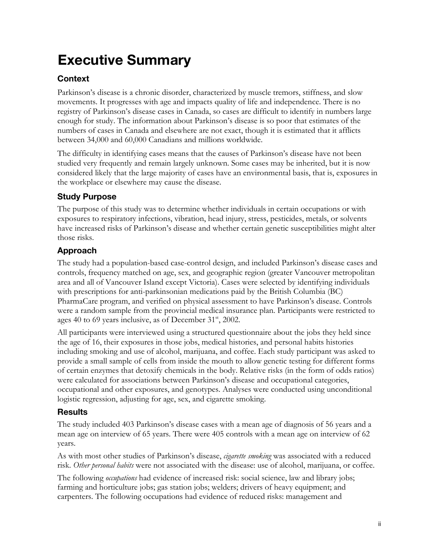# **Executive Summary**

### **Context**

Parkinson's disease is a chronic disorder, characterized by muscle tremors, stiffness, and slow movements. It progresses with age and impacts quality of life and independence. There is no registry of Parkinson's disease cases in Canada, so cases are difficult to identify in numbers large enough for study. The information about Parkinson's disease is so poor that estimates of the numbers of cases in Canada and elsewhere are not exact, though it is estimated that it afflicts between 34,000 and 60,000 Canadians and millions worldwide.

The difficulty in identifying cases means that the causes of Parkinson's disease have not been studied very frequently and remain largely unknown. Some cases may be inherited, but it is now considered likely that the large majority of cases have an environmental basis, that is, exposures in the workplace or elsewhere may cause the disease.

### **Study Purpose**

The purpose of this study was to determine whether individuals in certain occupations or with exposures to respiratory infections, vibration, head injury, stress, pesticides, metals, or solvents have increased risks of Parkinson's disease and whether certain genetic susceptibilities might alter those risks.

### **Approach**

The study had a population-based case-control design, and included Parkinson's disease cases and controls, frequency matched on age, sex, and geographic region (greater Vancouver metropolitan area and all of Vancouver Island except Victoria). Cases were selected by identifying individuals with prescriptions for anti-parkinsonian medications paid by the British Columbia (BC) PharmaCare program, and verified on physical assessment to have Parkinson's disease. Controls were a random sample from the provincial medical insurance plan. Participants were restricted to ages 40 to 69 years inclusive, as of December  $31<sup>st</sup>$ , 2002.

All participants were interviewed using a structured questionnaire about the jobs they held since the age of 16, their exposures in those jobs, medical histories, and personal habits histories including smoking and use of alcohol, marijuana, and coffee. Each study participant was asked to provide a small sample of cells from inside the mouth to allow genetic testing for different forms of certain enzymes that detoxify chemicals in the body. Relative risks (in the form of odds ratios) were calculated for associations between Parkinson's disease and occupational categories, occupational and other exposures, and genotypes. Analyses were conducted using unconditional logistic regression, adjusting for age, sex, and cigarette smoking.

### **Results**

The study included 403 Parkinson's disease cases with a mean age of diagnosis of 56 years and a mean age on interview of 65 years. There were 405 controls with a mean age on interview of 62 years.

As with most other studies of Parkinson's disease, *cigarette smoking* was associated with a reduced risk. *Other personal habits* were not associated with the disease: use of alcohol, marijuana, or coffee.

The following *occupations* had evidence of increased risk: social science, law and library jobs; farming and horticulture jobs; gas station jobs; welders; drivers of heavy equipment; and carpenters. The following occupations had evidence of reduced risks: management and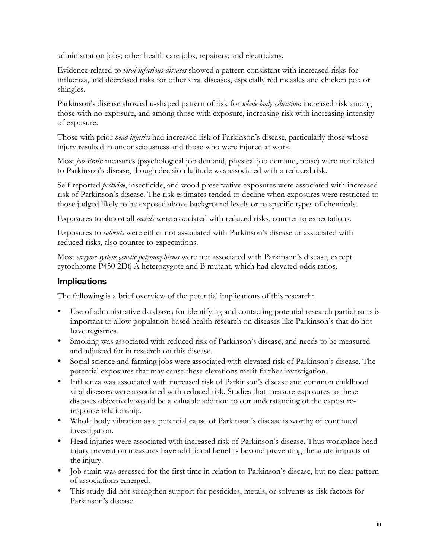administration jobs; other health care jobs; repairers; and electricians.

Evidence related to *viral infectious diseases* showed a pattern consistent with increased risks for influenza, and decreased risks for other viral diseases, especially red measles and chicken pox or shingles.

Parkinson's disease showed u-shaped pattern of risk for *whole body vibration*: increased risk among those with no exposure, and among those with exposure, increasing risk with increasing intensity of exposure.

Those with prior *head injuries* had increased risk of Parkinson's disease, particularly those whose injury resulted in unconsciousness and those who were injured at work.

Most *job strain* measures (psychological job demand, physical job demand, noise) were not related to Parkinson's disease, though decision latitude was associated with a reduced risk.

Self-reported *pesticide*, insecticide, and wood preservative exposures were associated with increased risk of Parkinson's disease. The risk estimates tended to decline when exposures were restricted to those judged likely to be exposed above background levels or to specific types of chemicals.

Exposures to almost all *metals* were associated with reduced risks, counter to expectations.

Exposures to *solvents* were either not associated with Parkinson's disease or associated with reduced risks, also counter to expectations.

Most *enzyme system genetic polymorphisms* were not associated with Parkinson's disease, except cytochrome P450 2D6 A heterozygote and B mutant, which had elevated odds ratios.

### **Implications**

The following is a brief overview of the potential implications of this research:

- Use of administrative databases for identifying and contacting potential research participants is important to allow population-based health research on diseases like Parkinson's that do not have registries.
- Smoking was associated with reduced risk of Parkinson's disease, and needs to be measured and adjusted for in research on this disease.
- Social science and farming jobs were associated with elevated risk of Parkinson's disease. The potential exposures that may cause these elevations merit further investigation.
- Influenza was associated with increased risk of Parkinson's disease and common childhood viral diseases were associated with reduced risk. Studies that measure exposures to these diseases objectively would be a valuable addition to our understanding of the exposureresponse relationship.
- Whole body vibration as a potential cause of Parkinson's disease is worthy of continued investigation.
- Head injuries were associated with increased risk of Parkinson's disease. Thus workplace head injury prevention measures have additional benefits beyond preventing the acute impacts of the injury.
- Job strain was assessed for the first time in relation to Parkinson's disease, but no clear pattern of associations emerged.
- This study did not strengthen support for pesticides, metals, or solvents as risk factors for Parkinson's disease.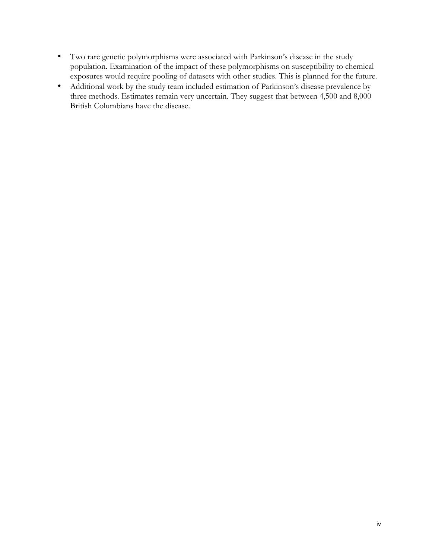- Two rare genetic polymorphisms were associated with Parkinson's disease in the study population. Examination of the impact of these polymorphisms on susceptibility to chemical exposures would require pooling of datasets with other studies. This is planned for the future.
- Additional work by the study team included estimation of Parkinson's disease prevalence by three methods. Estimates remain very uncertain. They suggest that between 4,500 and 8,000 British Columbians have the disease.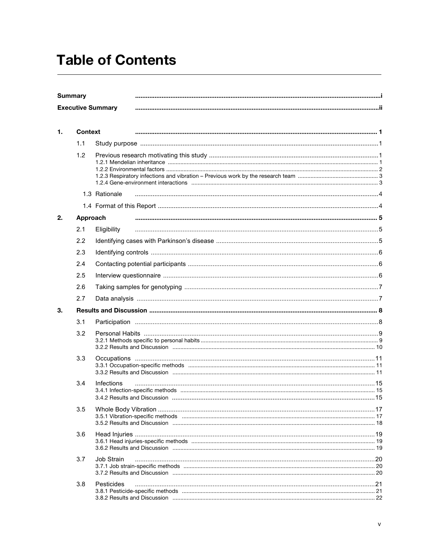# **Table of Contents**

| <b>Summary</b>           |  |
|--------------------------|--|
| <b>Executive Summary</b> |  |

| 1. | <b>Context</b> |                   |  |
|----|----------------|-------------------|--|
|    | 1.1            |                   |  |
|    | 1.2            |                   |  |
|    |                | 1.3 Rationale     |  |
|    |                |                   |  |
| 2. | Approach       |                   |  |
|    | 2.1            | Eligibility       |  |
|    | 2.2            |                   |  |
|    | 2.3            |                   |  |
|    | 2.4            |                   |  |
|    | 2.5            |                   |  |
|    | 2.6            |                   |  |
|    | 2.7            |                   |  |
| 3. |                |                   |  |
|    | 3.1            |                   |  |
|    | 3.2            |                   |  |
|    | 3.3            |                   |  |
|    | 3.4            | <b>Infections</b> |  |
|    | 3.5            |                   |  |
|    | 3.6            |                   |  |
|    | 3.7            | Job Strain        |  |
|    | 3.8            | Pesticides        |  |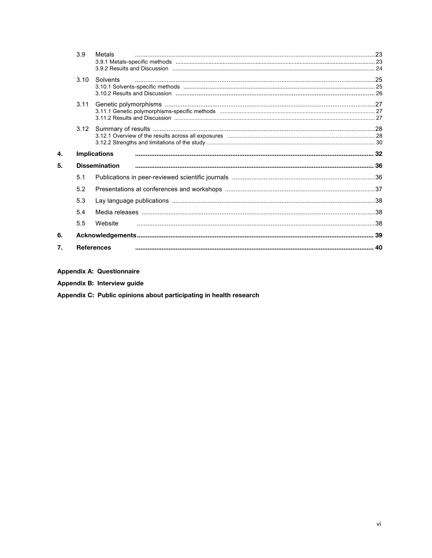|    | 3.9  | Metals               |  |
|----|------|----------------------|--|
|    |      |                      |  |
|    |      |                      |  |
|    | 3.10 | Solvents             |  |
|    |      |                      |  |
|    |      |                      |  |
|    | 3.11 |                      |  |
|    |      |                      |  |
|    |      |                      |  |
|    |      |                      |  |
|    |      |                      |  |
|    |      |                      |  |
|    |      |                      |  |
| 4. |      | <b>Implications</b>  |  |
| 5. |      | <b>Dissemination</b> |  |
|    | 5.1  |                      |  |
|    | 5.2  |                      |  |
|    | 5.3  |                      |  |
|    | 5.4  |                      |  |
|    | 5.5  | Website              |  |
| 6. |      |                      |  |

**Appendix A: Questionnaire** 

Appendix B: Interview guide

Appendix C: Public opinions about participating in health research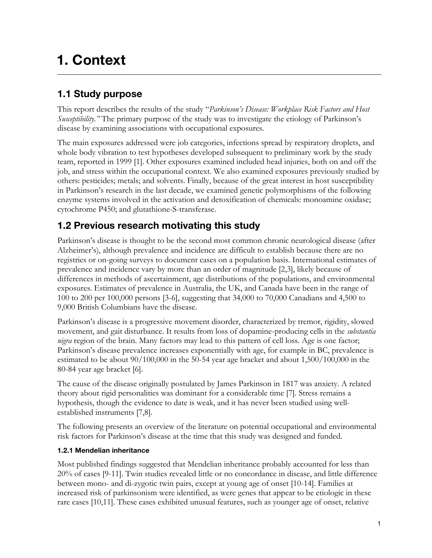# **1. Context**

### **1.1 Study purpose**

This report describes the results of the study "*Parkinson's Disease: Workplace Risk Factors and Host Susceptibility."* The primary purpose of the study was to investigate the etiology of Parkinson's disease by examining associations with occupational exposures.

The main exposures addressed were job categories, infections spread by respiratory droplets, and whole body vibration to test hypotheses developed subsequent to preliminary work by the study team, reported in 1999 [1]. Other exposures examined included head injuries, both on and off the job, and stress within the occupational context. We also examined exposures previously studied by others: pesticides; metals; and solvents. Finally, because of the great interest in host susceptibility in Parkinson's research in the last decade, we examined genetic polymorphisms of the following enzyme systems involved in the activation and detoxification of chemicals: monoamine oxidase; cytochrome P450; and glutathione-S-transferase.

### **1.2 Previous research motivating this study**

Parkinson's disease is thought to be the second most common chronic neurological disease (after Alzheimer's), although prevalence and incidence are difficult to establish because there are no registries or on-going surveys to document cases on a population basis. International estimates of prevalence and incidence vary by more than an order of magnitude [2,3], likely because of differences in methods of ascertainment, age distributions of the populations, and environmental exposures. Estimates of prevalence in Australia, the UK, and Canada have been in the range of 100 to 200 per 100,000 persons [3-6], suggesting that 34,000 to 70,000 Canadians and 4,500 to 9,000 British Columbians have the disease.

Parkinson's disease is a progressive movement disorder, characterized by tremor, rigidity, slowed movement, and gait disturbance. It results from loss of dopamine-producing cells in the *substantia nigra* region of the brain. Many factors may lead to this pattern of cell loss. Age is one factor; Parkinson's disease prevalence increases exponentially with age, for example in BC, prevalence is estimated to be about 90/100,000 in the 50-54 year age bracket and about 1,500/100,000 in the 80-84 year age bracket [6].

The cause of the disease originally postulated by James Parkinson in 1817 was anxiety. A related theory about rigid personalities was dominant for a considerable time [7]. Stress remains a hypothesis, though the evidence to date is weak, and it has never been studied using wellestablished instruments [7,8].

The following presents an overview of the literature on potential occupational and environmental risk factors for Parkinson's disease at the time that this study was designed and funded.

#### **1.2.1 Mendelian inheritance**

Most published findings suggested that Mendelian inheritance probably accounted for less than 20% of cases [9-11]. Twin studies revealed little or no concordance in disease, and little difference between mono- and di-zygotic twin pairs, except at young age of onset [10-14]. Families at increased risk of parkinsonism were identified, as were genes that appear to be etiologic in these rare cases [10,11]. These cases exhibited unusual features, such as younger age of onset, relative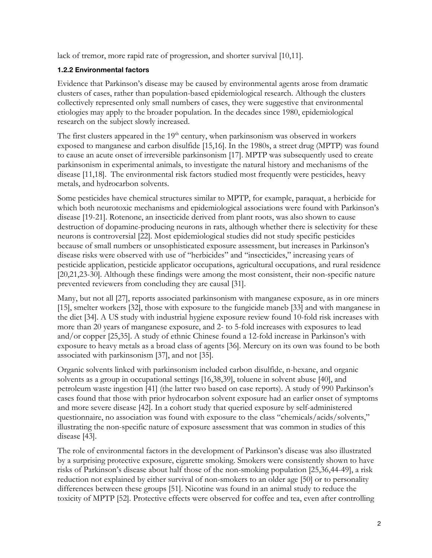lack of tremor, more rapid rate of progression, and shorter survival [10,11].

#### **1.2.2 Environmental factors**

Evidence that Parkinson's disease may be caused by environmental agents arose from dramatic clusters of cases, rather than population-based epidemiological research. Although the clusters collectively represented only small numbers of cases, they were suggestive that environmental etiologies may apply to the broader population. In the decades since 1980, epidemiological research on the subject slowly increased.

The first clusters appeared in the  $19<sup>th</sup>$  century, when parkinsonism was observed in workers exposed to manganese and carbon disulfide [15,16]. In the 1980s, a street drug (MPTP) was found to cause an acute onset of irreversible parkinsonism [17]. MPTP was subsequently used to create parkinsonism in experimental animals, to investigate the natural history and mechanisms of the disease [11,18]. The environmental risk factors studied most frequently were pesticides, heavy metals, and hydrocarbon solvents.

Some pesticides have chemical structures similar to MPTP, for example, paraquat, a herbicide for which both neurotoxic mechanisms and epidemiological associations were found with Parkinson's disease [19-21]. Rotenone, an insecticide derived from plant roots, was also shown to cause destruction of dopamine-producing neurons in rats, although whether there is selectivity for these neurons is controversial [22]. Most epidemiological studies did not study specific pesticides because of small numbers or unsophisticated exposure assessment, but increases in Parkinson's disease risks were observed with use of "herbicides" and "insecticides," increasing years of pesticide application, pesticide applicator occupations, agricultural occupations, and rural residence [20,21,23-30]. Although these findings were among the most consistent, their non-specific nature prevented reviewers from concluding they are causal [31].

Many, but not all [27], reports associated parkinsonism with manganese exposure, as in ore miners [15], smelter workers [32], those with exposure to the fungicide maneb [33] and with manganese in the diet [34]. A US study with industrial hygiene exposure review found 10-fold risk increases with more than 20 years of manganese exposure, and 2- to 5-fold increases with exposures to lead and/or copper [25,35]. A study of ethnic Chinese found a 12-fold increase in Parkinson's with exposure to heavy metals as a broad class of agents [36]. Mercury on its own was found to be both associated with parkinsonism [37], and not [35].

Organic solvents linked with parkinsonism included carbon disulfide, n-hexane, and organic solvents as a group in occupational settings [16,38,39], toluene in solvent abuse [40], and petroleum waste ingestion [41] (the latter two based on case reports). A study of 990 Parkinson's cases found that those with prior hydrocarbon solvent exposure had an earlier onset of symptoms and more severe disease [42]. In a cohort study that queried exposure by self-administered questionnaire, no association was found with exposure to the class "chemicals/acids/solvents," illustrating the non-specific nature of exposure assessment that was common in studies of this disease [43].

The role of environmental factors in the development of Parkinson's disease was also illustrated by a surprising protective exposure, cigarette smoking. Smokers were consistently shown to have risks of Parkinson's disease about half those of the non-smoking population [25,36,44-49], a risk reduction not explained by either survival of non-smokers to an older age [50] or to personality differences between these groups [51]. Nicotine was found in an animal study to reduce the toxicity of MPTP [52]. Protective effects were observed for coffee and tea, even after controlling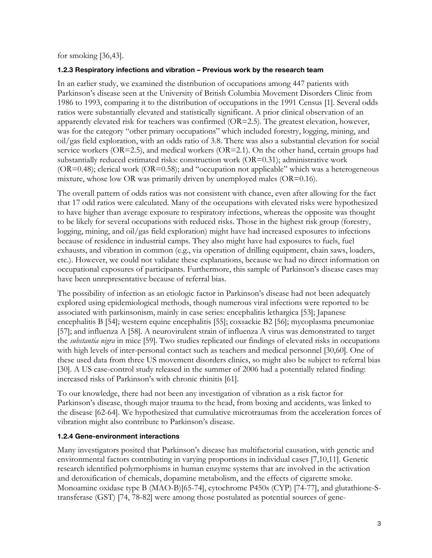for smoking [36,43].

#### **1.2.3 Respiratory infections and vibration – Previous work by the research team**

In an earlier study, we examined the distribution of occupations among 447 patients with Parkinson's disease seen at the University of British Columbia Movement Disorders Clinic from 1986 to 1993, comparing it to the distribution of occupations in the 1991 Census [1]. Several odds ratios were substantially elevated and statistically significant. A prior clinical observation of an apparently elevated risk for teachers was confirmed (OR=2.5). The greatest elevation, however, was for the category "other primary occupations" which included forestry, logging, mining, and oil/gas field exploration, with an odds ratio of 3.8. There was also a substantial elevation for social service workers (OR=2.5), and medical workers (OR=2.1). On the other hand, certain groups had substantially reduced estimated risks: construction work  $(OR=0.31)$ ; administrative work  $(OR=0.48)$ ; clerical work  $(OR=0.58)$ ; and "occupation not applicable" which was a heterogeneous mixture, whose low OR was primarily driven by unemployed males (OR=0.16).

The overall pattern of odds ratios was not consistent with chance, even after allowing for the fact that 17 odd ratios were calculated. Many of the occupations with elevated risks were hypothesized to have higher than average exposure to respiratory infections, whereas the opposite was thought to be likely for several occupations with reduced risks. Those in the highest risk group (forestry, logging, mining, and oil/gas field exploration) might have had increased exposures to infections because of residence in industrial camps. They also might have had exposures to fuels, fuel exhausts, and vibration in common (e.g., via operation of drilling equipment, chain saws, loaders, etc.). However, we could not validate these explanations, because we had no direct information on occupational exposures of participants. Furthermore, this sample of Parkinson's disease cases may have been unrepresentative because of referral bias.

The possibility of infection as an etiologic factor in Parkinson's disease had not been adequately explored using epidemiological methods, though numerous viral infections were reported to be associated with parkinsonism, mainly in case series: encephalitis lethargica [53]; Japanese encephalitis B [54]; western equine encephalitis [55]; coxsackie B2 [56]; mycoplasma pneumoniae [57]; and influenza A [58]. A neurovirulent strain of influenza A virus was demonstrated to target the *substantia nigra* in mice [59]. Two studies replicated our findings of elevated risks in occupations with high levels of inter-personal contact such as teachers and medical personnel [30,60]. One of these used data from three US movement disorders clinics, so might also be subject to referral bias [30]. A US case-control study released in the summer of 2006 had a potentially related finding: increased risks of Parkinson's with chronic rhinitis [61].

To our knowledge, there had not been any investigation of vibration as a risk factor for Parkinson's disease, though major trauma to the head, from boxing and accidents, was linked to the disease [62-64]. We hypothesized that cumulative microtraumas from the acceleration forces of vibration might also contribute to Parkinson's disease.

#### **1.2.4 Gene-environment interactions**

Many investigators posited that Parkinson's disease has multifactorial causation, with genetic and environmental factors contributing in varying proportions in individual cases [7,10,11]. Genetic research identified polymorphisms in human enzyme systems that are involved in the activation and detoxification of chemicals, dopamine metabolism, and the effects of cigarette smoke. Monoamine oxidase type B (MAO-B)[65-74], cytochrome P450s (CYP) [74-77], and glutathione-Stransferase (GST) [74, 78-82] were among those postulated as potential sources of gene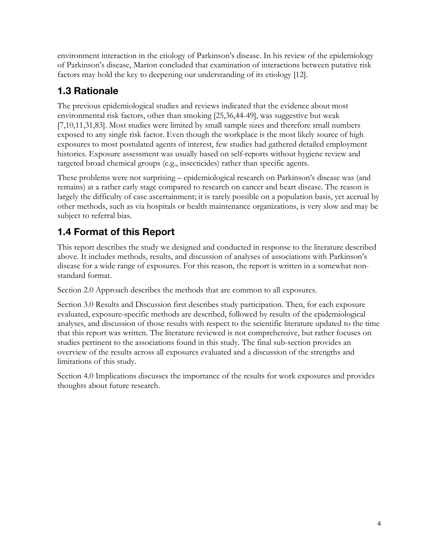environment interaction in the etiology of Parkinson's disease. In his review of the epidemiology of Parkinson's disease, Marion concluded that examination of interactions between putative risk factors may hold the key to deepening our understanding of its etiology [12].

### **1.3 Rationale**

The previous epidemiological studies and reviews indicated that the evidence about most environmental risk factors, other than smoking [25,36,44-49], was suggestive but weak [7,10,11,31,83]. Most studies were limited by small sample sizes and therefore small numbers exposed to any single risk factor. Even though the workplace is the most likely source of high exposures to most postulated agents of interest, few studies had gathered detailed employment histories. Exposure assessment was usually based on self-reports without hygiene review and targeted broad chemical groups (e.g., insecticides) rather than specific agents.

These problems were not surprising – epidemiological research on Parkinson's disease was (and remains) at a rather early stage compared to research on cancer and heart disease. The reason is largely the difficulty of case ascertainment; it is rarely possible on a population basis, yet accrual by other methods, such as via hospitals or health maintenance organizations, is very slow and may be subject to referral bias.

## **1.4 Format of this Report**

This report describes the study we designed and conducted in response to the literature described above. It includes methods, results, and discussion of analyses of associations with Parkinson's disease for a wide range of exposures. For this reason, the report is written in a somewhat nonstandard format.

Section 2.0 Approach describes the methods that are common to all exposures.

Section 3.0 Results and Discussion first describes study participation. Then, for each exposure evaluated, exposure-specific methods are described, followed by results of the epidemiological analyses, and discussion of those results with respect to the scientific literature updated to the time that this report was written. The literature reviewed is not comprehensive, but rather focuses on studies pertinent to the associations found in this study. The final sub-section provides an overview of the results across all exposures evaluated and a discussion of the strengths and limitations of this study.

Section 4.0 Implications discusses the importance of the results for work exposures and provides thoughts about future research.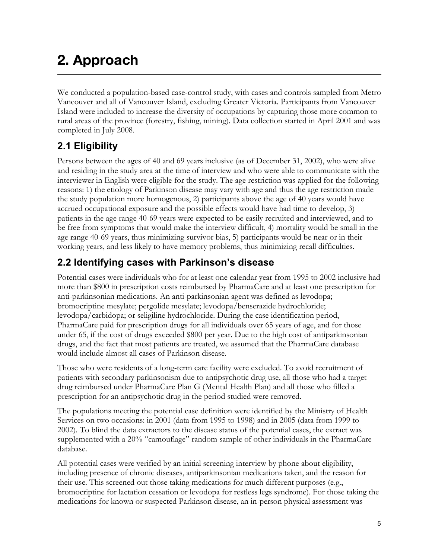# **2. Approach**

We conducted a population-based case-control study, with cases and controls sampled from Metro Vancouver and all of Vancouver Island, excluding Greater Victoria. Participants from Vancouver Island were included to increase the diversity of occupations by capturing those more common to rural areas of the province (forestry, fishing, mining). Data collection started in April 2001 and was completed in July 2008.

### **2.1 Eligibility**

Persons between the ages of 40 and 69 years inclusive (as of December 31, 2002), who were alive and residing in the study area at the time of interview and who were able to communicate with the interviewer in English were eligible for the study. The age restriction was applied for the following reasons: 1) the etiology of Parkinson disease may vary with age and thus the age restriction made the study population more homogenous, 2) participants above the age of 40 years would have accrued occupational exposure and the possible effects would have had time to develop, 3) patients in the age range 40-69 years were expected to be easily recruited and interviewed, and to be free from symptoms that would make the interview difficult, 4) mortality would be small in the age range 40-69 years, thus minimizing survivor bias, 5) participants would be near or in their working years, and less likely to have memory problems, thus minimizing recall difficulties.

### **2.2 Identifying cases with Parkinson's disease**

Potential cases were individuals who for at least one calendar year from 1995 to 2002 inclusive had more than \$800 in prescription costs reimbursed by PharmaCare and at least one prescription for anti-parkinsonian medications. An anti-parkinsonian agent was defined as levodopa; bromocriptine mesylate; pergolide mesylate; levodopa/benserazide hydrochloride; levodopa/carbidopa; or seligiline hydrochloride. During the case identification period, PharmaCare paid for prescription drugs for all individuals over 65 years of age, and for those under 65, if the cost of drugs exceeded \$800 per year. Due to the high cost of antiparkinsonian drugs, and the fact that most patients are treated, we assumed that the PharmaCare database would include almost all cases of Parkinson disease.

Those who were residents of a long-term care facility were excluded. To avoid recruitment of patients with secondary parkinsonism due to antipsychotic drug use, all those who had a target drug reimbursed under PharmaCare Plan G (Mental Health Plan) and all those who filled a prescription for an antipsychotic drug in the period studied were removed.

The populations meeting the potential case definition were identified by the Ministry of Health Services on two occasions: in 2001 (data from 1995 to 1998) and in 2005 (data from 1999 to 2002). To blind the data extractors to the disease status of the potential cases, the extract was supplemented with a 20% "camouflage" random sample of other individuals in the PharmaCare database.

All potential cases were verified by an initial screening interview by phone about eligibility, including presence of chronic diseases, antiparkinsonian medications taken, and the reason for their use. This screened out those taking medications for much different purposes (e.g., bromocriptine for lactation cessation or levodopa for restless legs syndrome). For those taking the medications for known or suspected Parkinson disease, an in-person physical assessment was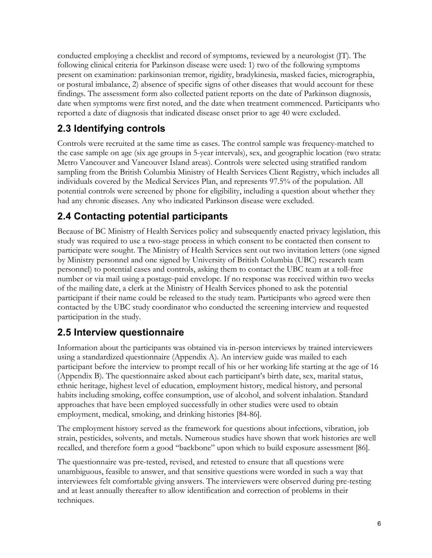conducted employing a checklist and record of symptoms, reviewed by a neurologist (JT). The following clinical criteria for Parkinson disease were used: 1) two of the following symptoms present on examination: parkinsonian tremor, rigidity, bradykinesia, masked facies, micrographia, or postural imbalance, 2) absence of specific signs of other diseases that would account for these findings. The assessment form also collected patient reports on the date of Parkinson diagnosis, date when symptoms were first noted, and the date when treatment commenced. Participants who reported a date of diagnosis that indicated disease onset prior to age 40 were excluded.

### **2.3 Identifying controls**

Controls were recruited at the same time as cases. The control sample was frequency-matched to the case sample on age (six age groups in 5-year intervals), sex, and geographic location (two strata: Metro Vancouver and Vancouver Island areas). Controls were selected using stratified random sampling from the British Columbia Ministry of Health Services Client Registry, which includes all individuals covered by the Medical Services Plan, and represents 97.5% of the population. All potential controls were screened by phone for eligibility, including a question about whether they had any chronic diseases. Any who indicated Parkinson disease were excluded.

### **2.4 Contacting potential participants**

Because of BC Ministry of Health Services policy and subsequently enacted privacy legislation, this study was required to use a two-stage process in which consent to be contacted then consent to participate were sought. The Ministry of Health Services sent out two invitation letters (one signed by Ministry personnel and one signed by University of British Columbia (UBC) research team personnel) to potential cases and controls, asking them to contact the UBC team at a toll-free number or via mail using a postage-paid envelope. If no response was received within two weeks of the mailing date, a clerk at the Ministry of Health Services phoned to ask the potential participant if their name could be released to the study team. Participants who agreed were then contacted by the UBC study coordinator who conducted the screening interview and requested participation in the study.

### **2.5 Interview questionnaire**

Information about the participants was obtained via in-person interviews by trained interviewers using a standardized questionnaire (Appendix A). An interview guide was mailed to each participant before the interview to prompt recall of his or her working life starting at the age of 16 (Appendix B). The questionnaire asked about each participant's birth date, sex, marital status, ethnic heritage, highest level of education, employment history, medical history, and personal habits including smoking, coffee consumption, use of alcohol, and solvent inhalation. Standard approaches that have been employed successfully in other studies were used to obtain employment, medical, smoking, and drinking histories [84-86].

The employment history served as the framework for questions about infections, vibration, job strain, pesticides, solvents, and metals. Numerous studies have shown that work histories are well recalled, and therefore form a good "backbone" upon which to build exposure assessment [86].

The questionnaire was pre-tested, revised, and retested to ensure that all questions were unambiguous, feasible to answer, and that sensitive questions were worded in such a way that interviewees felt comfortable giving answers. The interviewers were observed during pre-testing and at least annually thereafter to allow identification and correction of problems in their techniques.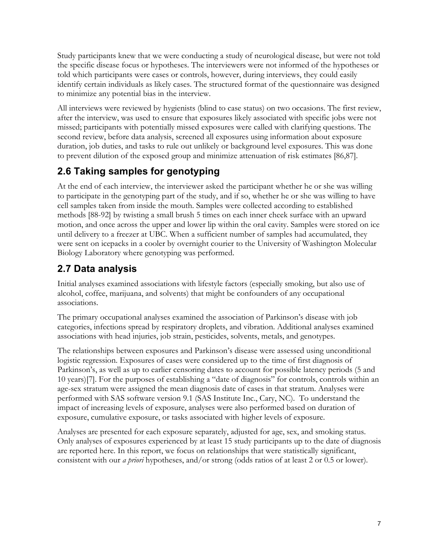Study participants knew that we were conducting a study of neurological disease, but were not told the specific disease focus or hypotheses. The interviewers were not informed of the hypotheses or told which participants were cases or controls, however, during interviews, they could easily identify certain individuals as likely cases. The structured format of the questionnaire was designed to minimize any potential bias in the interview.

All interviews were reviewed by hygienists (blind to case status) on two occasions. The first review, after the interview, was used to ensure that exposures likely associated with specific jobs were not missed; participants with potentially missed exposures were called with clarifying questions. The second review, before data analysis, screened all exposures using information about exposure duration, job duties, and tasks to rule out unlikely or background level exposures. This was done to prevent dilution of the exposed group and minimize attenuation of risk estimates [86,87].

### **2.6 Taking samples for genotyping**

At the end of each interview, the interviewer asked the participant whether he or she was willing to participate in the genotyping part of the study, and if so, whether he or she was willing to have cell samples taken from inside the mouth. Samples were collected according to established methods [88-92] by twisting a small brush 5 times on each inner cheek surface with an upward motion, and once across the upper and lower lip within the oral cavity. Samples were stored on ice until delivery to a freezer at UBC. When a sufficient number of samples had accumulated, they were sent on icepacks in a cooler by overnight courier to the University of Washington Molecular Biology Laboratory where genotyping was performed.

### **2.7 Data analysis**

Initial analyses examined associations with lifestyle factors (especially smoking, but also use of alcohol, coffee, marijuana, and solvents) that might be confounders of any occupational associations.

The primary occupational analyses examined the association of Parkinson's disease with job categories, infections spread by respiratory droplets, and vibration. Additional analyses examined associations with head injuries, job strain, pesticides, solvents, metals, and genotypes.

The relationships between exposures and Parkinson's disease were assessed using unconditional logistic regression. Exposures of cases were considered up to the time of first diagnosis of Parkinson's, as well as up to earlier censoring dates to account for possible latency periods (5 and 10 years)[7]. For the purposes of establishing a "date of diagnosis" for controls, controls within an age-sex stratum were assigned the mean diagnosis date of cases in that stratum. Analyses were performed with SAS software version 9.1 (SAS Institute Inc., Cary, NC). To understand the impact of increasing levels of exposure, analyses were also performed based on duration of exposure, cumulative exposure, or tasks associated with higher levels of exposure.

Analyses are presented for each exposure separately, adjusted for age, sex, and smoking status. Only analyses of exposures experienced by at least 15 study participants up to the date of diagnosis are reported here. In this report, we focus on relationships that were statistically significant, consistent with our *a priori* hypotheses, and/or strong (odds ratios of at least 2 or 0.5 or lower).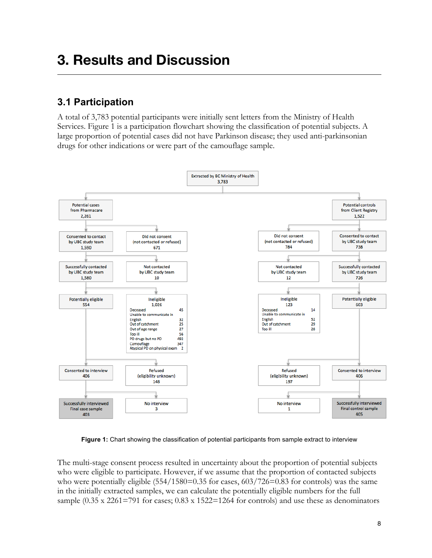## **3. Results and Discussion**

### **3.1 Participation**

A total of 3,783 potential participants were initially sent letters from the Ministry of Health Services. Figure 1 is a participation flowchart showing the classification of potential subjects. A large proportion of potential cases did not have Parkinson disease; they used anti-parkinsonian drugs for other indications or were part of the camouflage sample.



**Figure 1:** Chart showing the classification of potential participants from sample extract to interview

The multi-stage consent process resulted in uncertainty about the proportion of potential subjects who were eligible to participate. However, if we assume that the proportion of contacted subjects who were potentially eligible  $(554/1580=0.35$  for cases,  $603/726=0.83$  for controls) was the same in the initially extracted samples, we can calculate the potentially eligible numbers for the full sample (0.35 x 2261=791 for cases; 0.83 x 1522=1264 for controls) and use these as denominators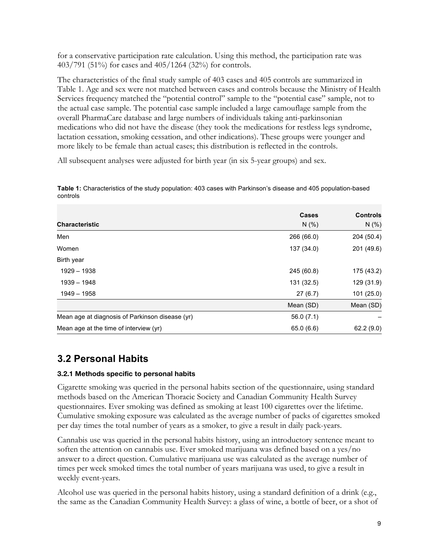for a conservative participation rate calculation. Using this method, the participation rate was 403/791 (51%) for cases and 405/1264 (32%) for controls.

The characteristics of the final study sample of 403 cases and 405 controls are summarized in Table 1. Age and sex were not matched between cases and controls because the Ministry of Health Services frequency matched the "potential control" sample to the "potential case" sample, not to the actual case sample. The potential case sample included a large camouflage sample from the overall PharmaCare database and large numbers of individuals taking anti-parkinsonian medications who did not have the disease (they took the medications for restless legs syndrome, lactation cessation, smoking cessation, and other indications). These groups were younger and more likely to be female than actual cases; this distribution is reflected in the controls.

All subsequent analyses were adjusted for birth year (in six 5-year groups) and sex.

|                                                 | <b>Cases</b> | <b>Controls</b> |
|-------------------------------------------------|--------------|-----------------|
| <b>Characteristic</b>                           | N(% )        | N(% )           |
| Men                                             | 266 (66.0)   | 204 (50.4)      |
| Women                                           | 137 (34.0)   | 201 (49.6)      |
| Birth year                                      |              |                 |
| 1929 - 1938                                     | 245 (60.8)   | 175 (43.2)      |
| 1939 - 1948                                     | 131 (32.5)   | 129 (31.9)      |
| 1949 - 1958                                     | 27(6.7)      | 101(25.0)       |
|                                                 | Mean (SD)    | Mean (SD)       |
| Mean age at diagnosis of Parkinson disease (yr) | 56.0(7.1)    |                 |
| Mean age at the time of interview (yr)          | 65.0(6.6)    | 62.2(9.0)       |

**Table 1:** Characteristics of the study population: 403 cases with Parkinson's disease and 405 population-based controls

### **3.2 Personal Habits**

#### **3.2.1 Methods specific to personal habits**

Cigarette smoking was queried in the personal habits section of the questionnaire, using standard methods based on the American Thoracic Society and Canadian Community Health Survey questionnaires. Ever smoking was defined as smoking at least 100 cigarettes over the lifetime. Cumulative smoking exposure was calculated as the average number of packs of cigarettes smoked per day times the total number of years as a smoker, to give a result in daily pack-years.

Cannabis use was queried in the personal habits history, using an introductory sentence meant to soften the attention on cannabis use. Ever smoked marijuana was defined based on a yes/no answer to a direct question. Cumulative marijuana use was calculated as the average number of times per week smoked times the total number of years marijuana was used, to give a result in weekly event-years.

Alcohol use was queried in the personal habits history, using a standard definition of a drink (e.g., the same as the Canadian Community Health Survey: a glass of wine, a bottle of beer, or a shot of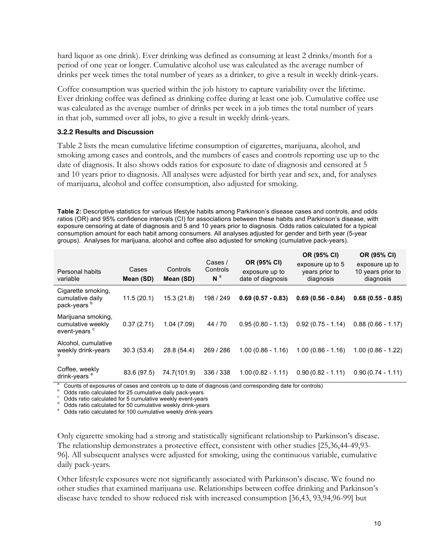hard liquor as one drink). Ever drinking was defined as consuming at least 2 drinks/month for a period of one year or longer. Cumulative alcohol use was calculated as the average number of drinks per week times the total number of years as a drinker, to give a result in weekly drink-years.

Coffee consumption was queried within the job history to capture variability over the lifetime. Ever drinking coffee was defined as drinking coffee during at least one job. Cumulative coffee use was calculated as the average number of drinks per week in a job times the total number of years in that job, summed over all jobs, to give a result in weekly drink-years.

#### **3.2.2 Results and Discussion**

Table 2 lists the mean cumulative lifetime consumption of cigarettes, marijuana, alcohol, and smoking among cases and controls, and the numbers of cases and controls reporting use up to the date of diagnosis. It also shows odds ratios for exposure to date of diagnosis and censored at 5 and 10 years prior to diagnosis. All analyses were adjusted for birth year and sex, and, for analyses of marijuana, alcohol and coffee consumption, also adjusted for smoking.

**Table 2:** Descriptive statistics for various lifestyle habits among Parkinson's disease cases and controls, and odds ratios (OR) and 95% confidence intervals (CI) for associations between these habits and Parkinson's disease, with exposure censoring at date of diagnosis and 5 and 10 years prior to diagnosis. Odds ratios calculated for a typical consumption amount for each habit among consumers. All analyses adjusted for gender and birth year (5-year groups). Analyses for marijuana, alcohol and coffee also adjusted for smoking (cumulative pack-years).

| <b>Personal habits</b><br>variable                                  | Cases<br>Mean (SD) | Controls<br>Mean (SD) | Cases /<br>Controls<br>N <sup>a</sup> | OR (95% CI)<br>exposure up to<br>date of diagnosis | OR (95% CI)<br>exposure up to 5<br>years prior to<br>diagnosis | OR (95% CI)<br>exposure up to<br>10 years prior to<br>diagnosis |
|---------------------------------------------------------------------|--------------------|-----------------------|---------------------------------------|----------------------------------------------------|----------------------------------------------------------------|-----------------------------------------------------------------|
| Cigarette smoking,<br>cumulative daily<br>pack-years <sup>b</sup>   | 11.5(20.1)         | 15.3(21.8)            | 198 / 249                             | $0.69(0.57 - 0.83)$                                | $0.69(0.56 - 0.84)$                                            | $0.68(0.55 - 0.85)$                                             |
| Marijuana smoking,<br>cumulative weekly<br>event-years <sup>c</sup> | 0.37(2.71)         | 1.04(7.09)            | 44 / 70                               | $0.95(0.80 - 1.13)$                                | $0.92(0.75 - 1.14)$                                            | $0.88(0.66 - 1.17)$                                             |
| Alcohol, cumulative<br>weekly drink-years                           | 30.3(53.4)         | 28.8 (54.4)           | 269 / 286                             | $1.00(0.86 - 1.16)$                                | $1.00(0.86 - 1.16)$                                            | $1.00(0.86 - 1.22)$                                             |
| Coffee, weekly<br>drink-years <sup>e</sup>                          | 83.6 (97.5)        | 74.7(101.9)           | 336 / 338                             | $1.00(0.82 - 1.11)$                                | $0.90(0.82 - 1.11)$                                            | $0.90(0.74 - 1.11)$                                             |

<sup>a</sup> Counts of exposures of cases and controls up to date of diagnosis (and corresponding date for controls)<br>
<sup>b</sup> Odds ratio calculated for 25 cumulative daily pack-years<br>
<sup>c</sup> Odds ratio calculated for 5 cumulative weekly e

Only cigarette smoking had a strong and statistically significant relationship to Parkinson's disease. The relationship demonstrates a protective effect, consistent with other studies [25,36,44-49,93- 96]. All subsequent analyses were adjusted for smoking, using the continuous variable, cumulative daily pack-years.

Other lifestyle exposures were not significantly associated with Parkinson's disease. We found no other studies that examined marijuana use. Relationships between coffee drinking and Parkinson's disease have tended to show reduced risk with increased consumption [36,43, 93,94,96-99] but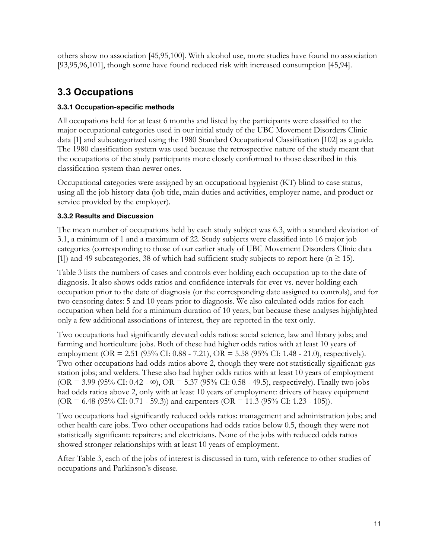others show no association [45,95,100]. With alcohol use, more studies have found no association [93,95,96,101], though some have found reduced risk with increased consumption [45,94].

### **3.3 Occupations**

### **3.3.1 Occupation-specific methods**

All occupations held for at least 6 months and listed by the participants were classified to the major occupational categories used in our initial study of the UBC Movement Disorders Clinic data [1] and subcategorized using the 1980 Standard Occupational Classification [102] as a guide. The 1980 classification system was used because the retrospective nature of the study meant that the occupations of the study participants more closely conformed to those described in this classification system than newer ones.

Occupational categories were assigned by an occupational hygienist (KT) blind to case status, using all the job history data (job title, main duties and activities, employer name, and product or service provided by the employer).

### **3.3.2 Results and Discussion**

The mean number of occupations held by each study subject was 6.3, with a standard deviation of 3.1, a minimum of 1 and a maximum of 22. Study subjects were classified into 16 major job categories (corresponding to those of our earlier study of UBC Movement Disorders Clinic data [1]) and 49 subcategories, 38 of which had sufficient study subjects to report here ( $n \ge 15$ ).

Table 3 lists the numbers of cases and controls ever holding each occupation up to the date of diagnosis. It also shows odds ratios and confidence intervals for ever vs. never holding each occupation prior to the date of diagnosis (or the corresponding date assigned to controls), and for two censoring dates: 5 and 10 years prior to diagnosis. We also calculated odds ratios for each occupation when held for a minimum duration of 10 years, but because these analyses highlighted only a few additional associations of interest, they are reported in the text only.

Two occupations had significantly elevated odds ratios: social science, law and library jobs; and farming and horticulture jobs. Both of these had higher odds ratios with at least 10 years of employment (OR = 2.51 (95% CI: 0.88 - 7.21), OR = 5.58 (95% CI: 1.48 - 21.0), respectively). Two other occupations had odds ratios above 2, though they were not statistically significant: gas station jobs; and welders. These also had higher odds ratios with at least 10 years of employment  $(OR = 3.99 (95\% CI: 0.42 - \infty), OR = 5.37 (95\% CI: 0.58 - 49.5), respectively. Finally two jobs$ had odds ratios above 2, only with at least 10 years of employment: drivers of heavy equipment (OR = 6.48 (95% CI: 0.71 - 59.3)) and carpenters (OR = 11.3 (95% CI: 1.23 - 105)).

Two occupations had significantly reduced odds ratios: management and administration jobs; and other health care jobs. Two other occupations had odds ratios below 0.5, though they were not statistically significant: repairers; and electricians. None of the jobs with reduced odds ratios showed stronger relationships with at least 10 years of employment.

After Table 3, each of the jobs of interest is discussed in turn, with reference to other studies of occupations and Parkinson's disease.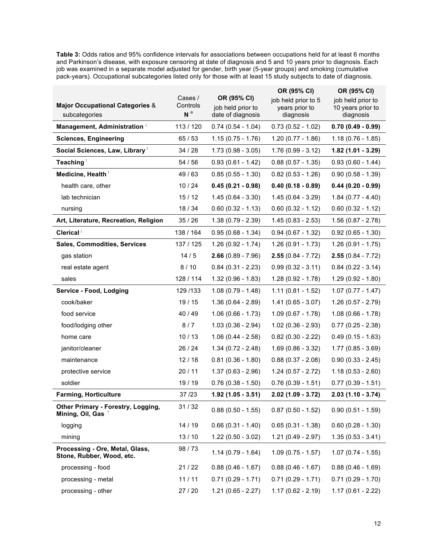**Table 3:** Odds ratios and 95% confidence intervals for associations between occupations held for at least 6 months and Parkinson's disease, with exposure censoring at date of diagnosis and 5 and 10 years prior to diagnosis. Each job was examined in a separate model adjusted for gender, birth year (5-year groups) and smoking (cumulative pack-years). Occupational subcategories listed only for those with at least 15 study subjects to date of diagnosis.

|                                                              |                     |                                  | OR (95% CI)                           | OR (95% CI)                            |
|--------------------------------------------------------------|---------------------|----------------------------------|---------------------------------------|----------------------------------------|
| <b>Major Occupational Categories &amp;</b>                   | Cases /<br>Controls | OR (95% CI)<br>job held prior to | job held prior to 5<br>years prior to | job held prior to<br>10 years prior to |
| subcategories                                                | N <sup>a</sup>      | date of diagnosis                | diagnosis                             | diagnosis                              |
| Management, Administration                                   | 113 / 120           | $0.74(0.54 - 1.04)$              | $0.73(0.52 - 1.02)$                   | $0.70(0.49 - 0.99)$                    |
| <b>Sciences, Engineering</b>                                 | 65 / 53             | $1.15(0.75 - 1.76)$              | $1.20(0.77 - 1.86)$                   | $1.18(0.76 - 1.85)$                    |
| Social Sciences, Law, Library <sup>1</sup>                   | 34 / 28             | $1.73(0.98 - 3.05)$              | $1.76(0.99 - 3.12)$                   | $1.82(1.01 - 3.29)$                    |
| Teaching <sup>1</sup>                                        | 54 / 56             | $0.93(0.61 - 1.42)$              | $0.88(0.57 - 1.35)$                   | $0.93(0.60 - 1.44)$                    |
| Medicine, Health <sup>1</sup>                                | 49/63               | $0.85(0.55 - 1.30)$              | $0.82(0.53 - 1.26)$                   | $0.90(0.58 - 1.39)$                    |
| health care, other                                           | 10/24               | $0.45(0.21 - 0.98)$              | $0.40(0.18 - 0.89)$                   | $0.44(0.20 - 0.99)$                    |
| lab technician                                               | 15/12               | $1.45(0.64 - 3.30)$              | $1.45(0.64 - 3.29)$                   | $1.84(0.77 - 4.40)$                    |
| nursing                                                      | 18 / 34             | $0.60(0.32 - 1.13)$              | $0.60$ $(0.32 - 1.12)$                | $0.60$ $(0.32 - 1.12)$                 |
| Art, Literature, Recreation, Religion                        | 35/26               | $1.38(0.79 - 2.39)$              | $1.45(0.83 - 2.53)$                   | $1.56(0.87 - 2.78)$                    |
| Clerical <sup><math>\downarrow</math></sup>                  | 138 / 164           | $0.95(0.68 - 1.34)$              | $0.94(0.67 - 1.32)$                   | $0.92(0.65 - 1.30)$                    |
| Sales, Commodities, Services                                 | 137 / 125           | $1.26(0.92 - 1.74)$              | $1.26(0.91 - 1.73)$                   | $1.26(0.91 - 1.75)$                    |
| gas station                                                  | 14/5                | $2.66(0.89 - 7.96)$              | $2.55(0.84 - 7.72)$                   | $2.55(0.84 - 7.72)$                    |
| real estate agent                                            | 8/10                | $0.84(0.31 - 2.23)$              | $0.99(0.32 - 3.11)$                   | $0.84$ (0.22 - 3.14)                   |
| sales                                                        | 128 / 114           | $1.32(0.96 - 1.83)$              | $1.28(0.92 - 1.78)$                   | $1.29(0.92 - 1.80)$                    |
| Service - Food, Lodging                                      | 129/133             | $1.08(0.79 - 1.48)$              | $1.11(0.81 - 1.52)$                   | $1.07(0.77 - 1.47)$                    |
| cook/baker                                                   | 19 / 15             | $1.36(0.64 - 2.89)$              | $1.41(0.65 - 3.07)$                   | $1.26(0.57 - 2.79)$                    |
| food service                                                 | 40 / 49             | $1.06(0.66 - 1.73)$              | $1.09(0.67 - 1.78)$                   | $1.08(0.66 - 1.78)$                    |
| food/lodging other                                           | 8/7                 | $1.03(0.36 - 2.94)$              | $1.02(0.36 - 2.93)$                   | $0.77(0.25 - 2.38)$                    |
| home care                                                    | 10/13               | $1.06(0.44 - 2.58)$              | $0.82$ (0.30 - 2.22)                  | $0.49(0.15 - 1.63)$                    |
| janitor/cleaner                                              | 26 / 24             | $1.34(0.72 - 2.48)$              | $1.69(0.86 - 3.32)$                   | $1.77(0.85 - 3.69)$                    |
| maintenance                                                  | 12/18               | $0.81(0.36 - 1.80)$              | $0.88(0.37 - 2.08)$                   | $0.90(0.33 - 2.45)$                    |
| protective service                                           | 20/11               | $1.37(0.63 - 2.96)$              | $1.24(0.57 - 2.72)$                   | $1.18(0.53 - 2.60)$                    |
| soldier                                                      | 19 / 19             | $0.76(0.38 - 1.50)$              | $0.76(0.39 - 1.51)$                   | $0.77(0.39 - 1.51)$                    |
| <b>Farming, Horticulture</b>                                 | 37/23               | $1.92(1.05 - 3.51)$              | $2.02(1.09 - 3.72)$                   | $2.03(1.10 - 3.74)$                    |
| Other Primary - Forestry, Logging,<br>Mining, Oil, Gas       | 31 / 32             | $0.88(0.50 - 1.55)$              | $0.87(0.50 - 1.52)$                   | $0.90(0.51 - 1.59)$                    |
| logging                                                      | 14 / 19             | $0.66(0.31 - 1.40)$              | $0.65(0.31 - 1.38)$                   | $0.60$ $(0.28 - 1.30)$                 |
| mining                                                       | 13/10               | $1.22(0.50 - 3.02)$              | $1.21(0.49 - 2.97)$                   | $1.35(0.53 - 3.41)$                    |
| Processing - Ore, Metal, Glass,<br>Stone, Rubber, Wood, etc. | 98/73               | $1.14(0.79 - 1.64)$              | $1.09(0.75 - 1.57)$                   | $1.07(0.74 - 1.55)$                    |
| processing - food                                            | 21/22               | $0.88(0.46 - 1.67)$              | $0.88(0.46 - 1.67)$                   | $0.88(0.46 - 1.69)$                    |
| processing - metal                                           | 11/11               | $0.71(0.29 - 1.71)$              | $0.71(0.29 - 1.71)$                   | $0.71(0.29 - 1.70)$                    |
| processing - other                                           | 27 / 20             | $1.21(0.65 - 2.27)$              | $1.17(0.62 - 2.19)$                   | $1.17(0.61 - 2.22)$                    |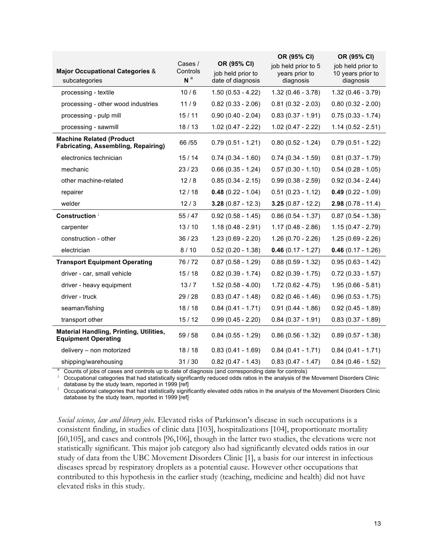|                                                                               |                                       |                                                       | OR (95% CI)                                        | OR (95% CI)                                         |
|-------------------------------------------------------------------------------|---------------------------------------|-------------------------------------------------------|----------------------------------------------------|-----------------------------------------------------|
| <b>Major Occupational Categories &amp;</b><br>subcategories                   | Cases /<br>Controls<br>N <sup>a</sup> | OR (95% CI)<br>job held prior to<br>date of diagnosis | job held prior to 5<br>years prior to<br>diagnosis | job held prior to<br>10 years prior to<br>diagnosis |
| processing - textile                                                          | 10/6                                  | $1.50(0.53 - 4.22)$                                   | $1.32(0.46 - 3.78)$                                | $1.32(0.46 - 3.79)$                                 |
| processing - other wood industries                                            | 11/9                                  | $0.82(0.33 - 2.06)$                                   | $0.81(0.32 - 2.03)$                                | $0.80(0.32 - 2.00)$                                 |
| processing - pulp mill                                                        | 15/11                                 | $0.90(0.40 - 2.04)$                                   | $0.83(0.37 - 1.91)$                                | $0.75(0.33 - 1.74)$                                 |
| processing - sawmill                                                          | 18/13                                 | $1.02(0.47 - 2.22)$                                   | $1.02$ (0.47 - 2.22)                               | $1.14(0.52 - 2.51)$                                 |
| <b>Machine Related (Product</b><br><b>Fabricating, Assembling, Repairing)</b> | 66 / 55                               | $0.79(0.51 - 1.21)$                                   | $0.80(0.52 - 1.24)$                                | $0.79(0.51 - 1.22)$                                 |
| electronics technician                                                        | 15/14                                 | $0.74(0.34 - 1.60)$                                   | $0.74(0.34 - 1.59)$                                | $0.81(0.37 - 1.79)$                                 |
| mechanic                                                                      | 23/23                                 | $0.66(0.35 - 1.24)$                                   | $0.57(0.30 - 1.10)$                                | $0.54$ (0.28 - 1.05)                                |
| other machine-related                                                         | 12/8                                  | $0.85(0.34 - 2.15)$                                   | $0.99(0.38 - 2.59)$                                | $0.92(0.34 - 2.44)$                                 |
| repairer                                                                      | 12/18                                 | $0.48(0.22 - 1.04)$                                   | $0.51(0.23 - 1.12)$                                | $0.49(0.22 - 1.09)$                                 |
| welder                                                                        | 12/3                                  | $3.28(0.87 - 12.3)$                                   | $3.25(0.87 - 12.2)$                                | $2.98(0.78 - 11.4)$                                 |
| Construction <sup>1</sup>                                                     | 55/47                                 | $0.92(0.58 - 1.45)$                                   | $0.86(0.54 - 1.37)$                                | $0.87(0.54 - 1.38)$                                 |
| carpenter                                                                     | 13/10                                 | $1.18(0.48 - 2.91)$                                   | $1.17(0.48 - 2.86)$                                | $1.15(0.47 - 2.79)$                                 |
| construction - other                                                          | 36/23                                 | $1.23(0.69 - 2.20)$                                   | $1.26(0.70 - 2.26)$                                | $1.25(0.69 - 2.26)$                                 |
| electrician                                                                   | 8/10                                  | $0.52(0.20 - 1.38)$                                   | $0.46(0.17 - 1.27)$                                | $0.46(0.17 - 1.26)$                                 |
| <b>Transport Equipment Operating</b>                                          | 76/72                                 | $0.87(0.58 - 1.29)$                                   | $0.88(0.59 - 1.32)$                                | $0.95(0.63 - 1.42)$                                 |
| driver - car, small vehicle                                                   | 15/18                                 | $0.82(0.39 - 1.74)$                                   | $0.82$ (0.39 - 1.75)                               | $0.72(0.33 - 1.57)$                                 |
| driver - heavy equipment                                                      | 13/7                                  | $1.52(0.58 - 4.00)$                                   | $1.72(0.62 - 4.75)$                                | $1.95(0.66 - 5.81)$                                 |
| driver - truck                                                                | 29/28                                 | $0.83(0.47 - 1.48)$                                   | $0.82(0.46 - 1.46)$                                | $0.96(0.53 - 1.75)$                                 |
| seaman/fishing                                                                | 18/18                                 | $0.84(0.41 - 1.71)$                                   | $0.91(0.44 - 1.86)$                                | $0.92(0.45 - 1.89)$                                 |
| transport other                                                               | 15/12                                 | $0.99(0.45 - 2.20)$                                   | $0.84$ (0.37 - 1.91)                               | $0.83(0.37 - 1.89)$                                 |
| <b>Material Handling, Printing, Utilities,</b><br><b>Equipment Operating</b>  | 59 / 58                               | $0.84(0.55 - 1.29)$                                   | $0.86(0.56 - 1.32)$                                | $0.89(0.57 - 1.38)$                                 |
| delivery - non motorized                                                      | 18/18                                 | $0.83(0.41 - 1.69)$                                   | $0.84(0.41 - 1.71)$                                | $0.84(0.41 - 1.71)$                                 |
| shipping/warehousing                                                          | 31/30                                 | $0.82(0.47 - 1.43)$                                   | $0.83(0.47 - 1.47)$                                | $0.84$ (0.46 - 1.52)                                |

Counts of jobs of cases and controls up to date of diagnosis (and corresponding date for controls)<br>Occupational categories that had statistically significantly reduced odds ratios in the analysis of the Movement Disorders

database by the study team, reported in 1999 [ref]<br>Occupational categories that had statistically significantly elevated odds ratios in the analysis of the Movement Disorders Clinic database by the study team, reported in 1999 [ref]

*Social science, law and library jobs*. Elevated risks of Parkinson's disease in such occupations is a consistent finding, in studies of clinic data [103], hospitalizations [104], proportionate mortality [60,105], and cases and controls [96,106], though in the latter two studies, the elevations were not statistically significant. This major job category also had significantly elevated odds ratios in our study of data from the UBC Movement Disorders Clinic [1], a basis for our interest in infectious diseases spread by respiratory droplets as a potential cause. However other occupations that contributed to this hypothesis in the earlier study (teaching, medicine and health) did not have elevated risks in this study.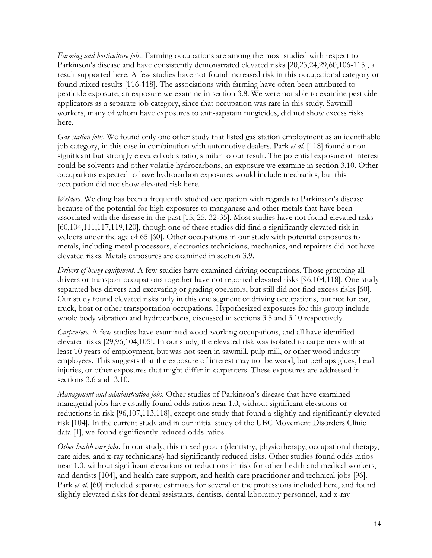*Farming and horticulture jobs*. Farming occupations are among the most studied with respect to Parkinson's disease and have consistently demonstrated elevated risks [20,23,24,29,60,106-115], a result supported here. A few studies have not found increased risk in this occupational category or found mixed results [116-118]. The associations with farming have often been attributed to pesticide exposure, an exposure we examine in section 3.8. We were not able to examine pesticide applicators as a separate job category, since that occupation was rare in this study. Sawmill workers, many of whom have exposures to anti-sapstain fungicides, did not show excess risks here.

*Gas station jobs*. We found only one other study that listed gas station employment as an identifiable job category, in this case in combination with automotive dealers. Park *et al.* [118] found a nonsignificant but strongly elevated odds ratio, similar to our result. The potential exposure of interest could be solvents and other volatile hydrocarbons, an exposure we examine in section 3.10. Other occupations expected to have hydrocarbon exposures would include mechanics, but this occupation did not show elevated risk here.

*Welders*. Welding has been a frequently studied occupation with regards to Parkinson's disease because of the potential for high exposures to manganese and other metals that have been associated with the disease in the past [15, 25, 32-35]. Most studies have not found elevated risks [60,104,111,117,119,120], though one of these studies did find a significantly elevated risk in welders under the age of 65 [60]. Other occupations in our study with potential exposures to metals, including metal processors, electronics technicians, mechanics, and repairers did not have elevated risks. Metals exposures are examined in section 3.9.

*Drivers of heavy equipment*. A few studies have examined driving occupations. Those grouping all drivers or transport occupations together have not reported elevated risks [96,104,118]. One study separated bus drivers and excavating or grading operators, but still did not find excess risks [60]. Our study found elevated risks only in this one segment of driving occupations, but not for car, truck, boat or other transportation occupations. Hypothesized exposures for this group include whole body vibration and hydrocarbons, discussed in sections 3.5 and 3.10 respectively.

*Carpenters*. A few studies have examined wood-working occupations, and all have identified elevated risks [29,96,104,105]. In our study, the elevated risk was isolated to carpenters with at least 10 years of employment, but was not seen in sawmill, pulp mill, or other wood industry employees. This suggests that the exposure of interest may not be wood, but perhaps glues, head injuries, or other exposures that might differ in carpenters. These exposures are addressed in sections 3.6 and 3.10.

*Management and administration jobs*. Other studies of Parkinson's disease that have examined managerial jobs have usually found odds ratios near 1.0, without significant elevations or reductions in risk [96,107,113,118], except one study that found a slightly and significantly elevated risk [104]. In the current study and in our initial study of the UBC Movement Disorders Clinic data [1], we found significantly reduced odds ratios.

*Other health care jobs*. In our study, this mixed group (dentistry, physiotherapy, occupational therapy, care aides, and x-ray technicians) had significantly reduced risks. Other studies found odds ratios near 1.0, without significant elevations or reductions in risk for other health and medical workers, and dentists [104], and health care support, and health care practitioner and technical jobs [96]. Park *et al.* [60] included separate estimates for several of the professions included here, and found slightly elevated risks for dental assistants, dentists, dental laboratory personnel, and x-ray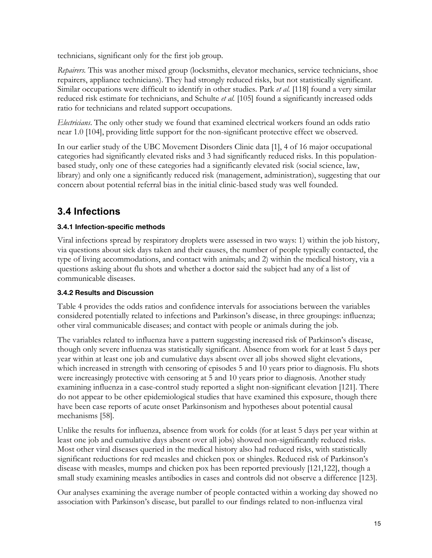technicians, significant only for the first job group.

*Repairers.* This was another mixed group (locksmiths, elevator mechanics, service technicians, shoe repairers, appliance technicians). They had strongly reduced risks, but not statistically significant. Similar occupations were difficult to identify in other studies. Park *et al.* [118] found a very similar reduced risk estimate for technicians, and Schulte *et al.* [105] found a significantly increased odds ratio for technicians and related support occupations.

*Electricians*. The only other study we found that examined electrical workers found an odds ratio near 1.0 [104], providing little support for the non-significant protective effect we observed.

In our earlier study of the UBC Movement Disorders Clinic data [1], 4 of 16 major occupational categories had significantly elevated risks and 3 had significantly reduced risks. In this populationbased study, only one of these categories had a significantly elevated risk (social science, law, library) and only one a significantly reduced risk (management, administration), suggesting that our concern about potential referral bias in the initial clinic-based study was well founded.

### **3.4 Infections**

### **3.4.1 Infection-specific methods**

Viral infections spread by respiratory droplets were assessed in two ways: 1) within the job history, via questions about sick days taken and their causes, the number of people typically contacted, the type of living accommodations, and contact with animals; and 2) within the medical history, via a questions asking about flu shots and whether a doctor said the subject had any of a list of communicable diseases.

### **3.4.2 Results and Discussion**

Table 4 provides the odds ratios and confidence intervals for associations between the variables considered potentially related to infections and Parkinson's disease, in three groupings: influenza; other viral communicable diseases; and contact with people or animals during the job.

The variables related to influenza have a pattern suggesting increased risk of Parkinson's disease, though only severe influenza was statistically significant. Absence from work for at least 5 days per year within at least one job and cumulative days absent over all jobs showed slight elevations, which increased in strength with censoring of episodes 5 and 10 years prior to diagnosis. Flu shots were increasingly protective with censoring at 5 and 10 years prior to diagnosis. Another study examining influenza in a case-control study reported a slight non-significant elevation [121]. There do not appear to be other epidemiological studies that have examined this exposure, though there have been case reports of acute onset Parkinsonism and hypotheses about potential causal mechanisms [58].

Unlike the results for influenza, absence from work for colds (for at least 5 days per year within at least one job and cumulative days absent over all jobs) showed non-significantly reduced risks. Most other viral diseases queried in the medical history also had reduced risks, with statistically significant reductions for red measles and chicken pox or shingles. Reduced risk of Parkinson's disease with measles, mumps and chicken pox has been reported previously [121,122], though a small study examining measles antibodies in cases and controls did not observe a difference [123].

Our analyses examining the average number of people contacted within a working day showed no association with Parkinson's disease, but parallel to our findings related to non-influenza viral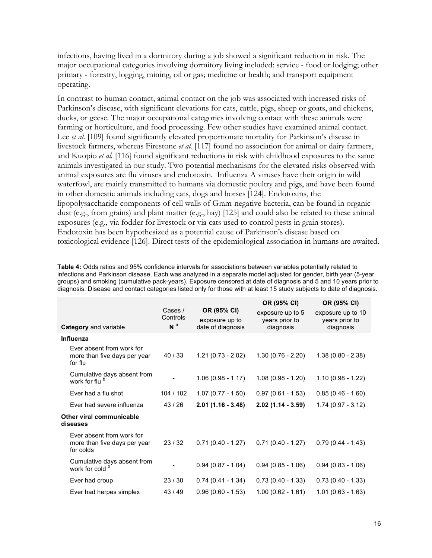infections, having lived in a dormitory during a job showed a significant reduction in risk. The major occupational categories involving dormitory living included: service - food or lodging; other primary - forestry, logging, mining, oil or gas; medicine or health; and transport equipment operating.

In contrast to human contact, animal contact on the job was associated with increased risks of Parkinson's disease, with significant elevations for cats, cattle, pigs, sheep or goats, and chickens, ducks, or geese. The major occupational categories involving contact with these animals were farming or horticulture, and food processing. Few other studies have examined animal contact. Lee *et al.* [109] found significantly elevated proportionate mortality for Parkinson's disease in livestock farmers, whereas Firestone *et al.* [117] found no association for animal or dairy farmers, and Kuopio *et al.* [116] found significant reductions in risk with childhood exposures to the same animals investigated in our study. Two potential mechanisms for the elevated risks observed with animal exposures are flu viruses and endotoxin. Influenza A viruses have their origin in wild waterfowl, are mainly transmitted to humans via domestic poultry and pigs, and have been found in other domestic animals including cats, dogs and horses [124]. Endotoxins, the lipopolysaccharide components of cell walls of Gram-negative bacteria, can be found in organic dust (e.g., from grains) and plant matter (e.g., hay) [125] and could also be related to these animal exposures (e.g., via fodder for livestock or via cats used to control pests in grain stores). Endotoxin has been hypothesized as a potential cause of Parkinson's disease based on toxicological evidence [126]. Direct tests of the epidemiological association in humans are awaited.

**Table 4:** Odds ratios and 95% confidence intervals for associations between variables potentially related to infections and Parkinson disease. Each was analyzed in a separate model adjusted for gender, birth year (5-year groups) and smoking (cumulative pack-years). Exposure censored at date of diagnosis and 5 and 10 years prior to diagnosis. Disease and contact categories listed only for those with at least 15 study subjects to date of diagnosis.

|                                                                        |                                       |                                                    | OR (95% CI)                                     | OR (95% CI)                                      |
|------------------------------------------------------------------------|---------------------------------------|----------------------------------------------------|-------------------------------------------------|--------------------------------------------------|
| Category and variable                                                  | Cases /<br>Controls<br>N <sup>a</sup> | OR (95% CI)<br>exposure up to<br>date of diagnosis | exposure up to 5<br>years prior to<br>diagnosis | exposure up to 10<br>years prior to<br>diagnosis |
| Influenza                                                              |                                       |                                                    |                                                 |                                                  |
| Ever absent from work for<br>more than five days per year<br>for flu   | 40/33                                 | $1.21(0.73 - 2.02)$                                | $1.30(0.76 - 2.20)$                             | $1.38(0.80 - 2.38)$                              |
| Cumulative days absent from<br>work for flu <sup>b</sup>               |                                       | $1.06(0.98 - 1.17)$                                | $1.08(0.98 - 1.20)$                             | $1.10(0.98 - 1.22)$                              |
| Ever had a flu shot                                                    | 104 / 102                             | $1.07(0.77 - 1.50)$                                | $0.97(0.61 - 1.53)$                             | $0.85(0.46 - 1.60)$                              |
| Ever had severe influenza                                              | 43/26                                 | $2.01(1.16 - 3.48)$                                | $2.02(1.14 - 3.59)$                             | $1.74(0.97 - 3.12)$                              |
| Other viral communicable<br>diseases                                   |                                       |                                                    |                                                 |                                                  |
| Ever absent from work for<br>more than five days per year<br>for colds | 23/32                                 | $0.71(0.40 - 1.27)$                                | $0.71(0.40 - 1.27)$                             | $0.79(0.44 - 1.43)$                              |
| Cumulative days absent from<br>work for cold                           |                                       | $0.94(0.87 - 1.04)$                                | $0.94(0.85 - 1.06)$                             | $0.94(0.83 - 1.06)$                              |
| Ever had croup                                                         | 23/30                                 | $0.74(0.41 - 1.34)$                                | $0.73(0.40 - 1.33)$                             | $0.73(0.40 - 1.33)$                              |
| Ever had herpes simplex                                                | 43/49                                 | $0.96(0.60 - 1.53)$                                | $1.00(0.62 - 1.61)$                             | $1.01(0.63 - 1.63)$                              |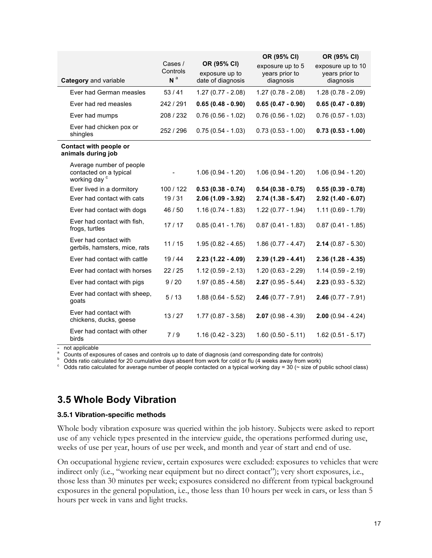|                                                                                |                                       |                                                    | OR (95% CI)                                     | OR (95% CI)                                      |
|--------------------------------------------------------------------------------|---------------------------------------|----------------------------------------------------|-------------------------------------------------|--------------------------------------------------|
| Category and variable                                                          | Cases /<br>Controls<br>N <sup>a</sup> | OR (95% CI)<br>exposure up to<br>date of diagnosis | exposure up to 5<br>years prior to<br>diagnosis | exposure up to 10<br>years prior to<br>diagnosis |
| Ever had German measles                                                        | 53/41                                 | $1.27(0.77 - 2.08)$                                | $1.27(0.78 - 2.08)$                             | $1.28(0.78 - 2.09)$                              |
| Ever had red measles                                                           | 242 / 291                             | $0.65(0.48 - 0.90)$                                | $0.65(0.47 - 0.90)$                             | $0.65(0.47 - 0.89)$                              |
| Ever had mumps                                                                 | 208 / 232                             | $0.76(0.56 - 1.02)$                                | $0.76(0.56 - 1.02)$                             | $0.76(0.57 - 1.03)$                              |
| Ever had chicken pox or<br>shingles                                            | 252 / 296                             | $0.75(0.54 - 1.03)$                                | $0.73(0.53 - 1.00)$                             | $0.73(0.53 - 1.00)$                              |
| Contact with people or<br>animals during job                                   |                                       |                                                    |                                                 |                                                  |
| Average number of people<br>contacted on a typical<br>working day <sup>c</sup> |                                       | $1.06(0.94 - 1.20)$                                | $1.06(0.94 - 1.20)$                             | $1.06(0.94 - 1.20)$                              |
| Ever lived in a dormitory                                                      | 100/122                               | $0.53(0.38 - 0.74)$                                | $0.54(0.38 - 0.75)$                             | $0.55(0.39 - 0.78)$                              |
| Ever had contact with cats                                                     | 19/31                                 | $2.06(1.09 - 3.92)$                                | $2.74(1.38 - 5.47)$                             | $2.92(1.40 - 6.07)$                              |
| Ever had contact with dogs                                                     | 46 / 50                               | $1.16(0.74 - 1.83)$                                | $1.22(0.77 - 1.94)$                             | $1.11(0.69 - 1.79)$                              |
| Ever had contact with fish,<br>frogs, turtles                                  | 17/17                                 | $0.85(0.41 - 1.76)$                                | $0.87(0.41 - 1.83)$                             | $0.87(0.41 - 1.85)$                              |
| Ever had contact with<br>gerbils, hamsters, mice, rats                         | 11/15                                 | $1.95(0.82 - 4.65)$                                | $1.86(0.77 - 4.47)$                             | $2.14(0.87 - 5.30)$                              |
| Ever had contact with cattle                                                   | 19/44                                 | $2.23(1.22 - 4.09)$                                | $2.39(1.29 - 4.41)$                             | $2.36(1.28 - 4.35)$                              |
| Ever had contact with horses                                                   | 22/25                                 | $1.12(0.59 - 2.13)$                                | $1.20(0.63 - 2.29)$                             | $1.14(0.59 - 2.19)$                              |
| Ever had contact with pigs                                                     | 9/20                                  | $1.97(0.85 - 4.58)$                                | $2.27(0.95 - 5.44)$                             | $2.23(0.93 - 5.32)$                              |
| Ever had contact with sheep,<br>goats                                          | 5/13                                  | $1.88(0.64 - 5.52)$                                | $2.46(0.77 - 7.91)$                             | $2.46(0.77 - 7.91)$                              |
| Ever had contact with<br>chickens, ducks, geese                                | 13/27                                 | $1.77(0.87 - 3.58)$                                | $2.07(0.98 - 4.39)$                             | $2.00(0.94 - 4.24)$                              |
| Ever had contact with other<br>birds                                           | 7/9                                   | $1.16(0.42 - 3.23)$                                | $1.60(0.50 - 5.11)$                             | $1.62(0.51 - 5.17)$                              |

- not applicable<br>
a Counts of exposures of cases and controls up to date of diagnosis (and corresponding date for controls)<br>  $\frac{b}{c}$  Odds ratio calculated for 20 cumulative days absent from work for cold or flu (4 weeks

### **3.5 Whole Body Vibration**

#### **3.5.1 Vibration-specific methods**

Whole body vibration exposure was queried within the job history. Subjects were asked to report use of any vehicle types presented in the interview guide, the operations performed during use, weeks of use per year, hours of use per week, and month and year of start and end of use.

On occupational hygiene review, certain exposures were excluded: exposures to vehicles that were indirect only (i.e., "working near equipment but no direct contact"); very short exposures, i.e., those less than 30 minutes per week; exposures considered no different from typical background exposures in the general population, i.e., those less than 10 hours per week in cars, or less than 5 hours per week in vans and light trucks.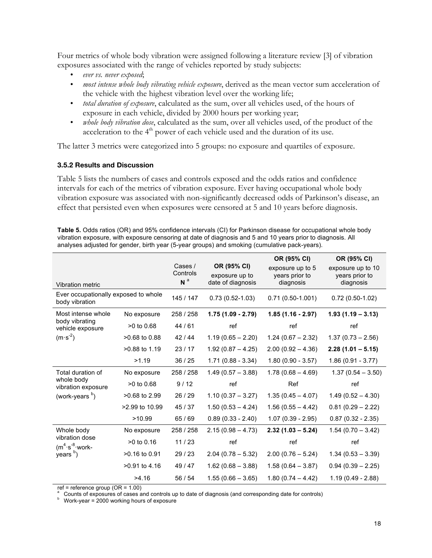Four metrics of whole body vibration were assigned following a literature review [3] of vibration exposures associated with the range of vehicles reported by study subjects:

- *ever vs. never exposed*;
- *most intense whole body vibrating vehicle exposure*, derived as the mean vector sum acceleration of the vehicle with the highest vibration level over the working life;
- *total duration of exposure*, calculated as the sum, over all vehicles used, of the hours of exposure in each vehicle, divided by 2000 hours per working year;
- *whole body vibration dose*, calculated as the sum, over all vehicles used, of the product of the acceleration to the  $4<sup>th</sup>$  power of each vehicle used and the duration of its use.

The latter 3 metrics were categorized into 5 groups: no exposure and quartiles of exposure.

#### **3.5.2 Results and Discussion**

Table 5 lists the numbers of cases and controls exposed and the odds ratios and confidence intervals for each of the metrics of vibration exposure. Ever having occupational whole body vibration exposure was associated with non-significantly decreased odds of Parkinson's disease, an effect that persisted even when exposures were censored at 5 and 10 years before diagnosis.

**Table 5.** Odds ratios (OR) and 95% confidence intervals (CI) for Parkinson disease for occupational whole body vibration exposure, with exposure censoring at date of diagnosis and 5 and 10 years prior to diagnosis. All analyses adjusted for gender, birth year (5-year groups) and smoking (cumulative pack-years).

| Vibration metric                                       |                 | Cases /<br>Controls<br>N <sup>a</sup> | OR (95% CI)<br>exposure up to<br>date of diagnosis | OR (95% CI)<br>exposure up to 5<br>years prior to<br>diagnosis | OR (95% CI)<br>exposure up to 10<br>years prior to<br>diagnosis |
|--------------------------------------------------------|-----------------|---------------------------------------|----------------------------------------------------|----------------------------------------------------------------|-----------------------------------------------------------------|
| Ever occupationally exposed to whole<br>body vibration |                 | 145 / 147                             | $0.73(0.52 - 1.03)$                                | $0.71(0.50-1.001)$                                             | $0.72(0.50-1.02)$                                               |
| Most intense whole                                     | No exposure     | 258 / 258                             | $1.75(1.09 - 2.79)$                                | $1.85(1.16 - 2.97)$                                            | $1.93(1.19 - 3.13)$                                             |
| body vibrating<br>vehicle exposure                     | $>0$ to 0.68    | 44/61                                 | ref                                                | ref                                                            | ref                                                             |
| $(m·s-2)$                                              | $>0.68$ to 0.88 | 42 / 44                               | $1.19(0.65 - 2.20)$                                | $1.24(0.67 - 2.32)$                                            | $1.37(0.73 - 2.56)$                                             |
|                                                        | >0.88 to 1.19   | 23/17                                 | $1.92(0.87 - 4.25)$                                | $2.00(0.92 - 4.36)$                                            | $2.28(1.01 - 5.15)$                                             |
|                                                        | >1.19           | 36/25                                 | $1.71(0.88 - 3.34)$                                | $1.80(0.90 - 3.57)$                                            | $1.86(0.91 - 3.77)$                                             |
| Total duration of                                      | No exposure     | 258 / 258                             | $1.49(0.57 - 3.88)$                                | $1.78(0.68 - 4.69)$                                            | $1.37(0.54 - 3.50)$                                             |
| whole body<br>vibration exposure                       | $>0$ to 0.68    | 9/12                                  | ref                                                | Ref                                                            | ref                                                             |
| (work-years <sup>b</sup> )                             | $>0.68$ to 2.99 | 26/29                                 | $1.10(0.37 - 3.27)$                                | $1.35(0.45 - 4.07)$                                            | $1.49(0.52 - 4.30)$                                             |
|                                                        | >2.99 to 10.99  | 45/37                                 | $1.50(0.53 - 4.24)$                                | $1.56(0.55 - 4.42)$                                            | $0.81(0.29 - 2.22)$                                             |
|                                                        | >10.99          | 65/69                                 | $0.89(0.33 - 2.40)$                                | $1.07(0.39 - 2.95)$                                            | $0.87(0.32 - 2.35)$                                             |
| Whole body                                             | No exposure     | 258 / 258                             | $2.15(0.98 - 4.73)$                                | $2.32(1.03 - 5.24)$                                            | $1.54(0.70 - 3.42)$                                             |
| vibration dose<br>$(m^4 \cdot s^{-8} \cdot w$ ork-     | $>0$ to 0.16    | 11/23                                 | ref                                                | ref                                                            | ref                                                             |
| years <sup>b</sup> )                                   | $>0.16$ to 0.91 | 29/23                                 | $2.04(0.78 - 5.32)$                                | $2.00(0.76 - 5.24)$                                            | $1.34(0.53 - 3.39)$                                             |
|                                                        | $>0.91$ to 4.16 | 49/47                                 | $1.62(0.68 - 3.88)$                                | $1.58(0.64 - 3.87)$                                            | $0.94(0.39 - 2.25)$                                             |
|                                                        | >4.16           | 56 / 54                               | $1.55(0.66 - 3.65)$                                | $1.80(0.74 - 4.42)$                                            | $1.19(0.49 - 2.88)$                                             |

ref = reference group (OR = 1.00)

<sup>a</sup> Counts of exposures of cases and controls up to date of diagnosis (and corresponding date for controls) b Work-year = 2000 working hours of exposure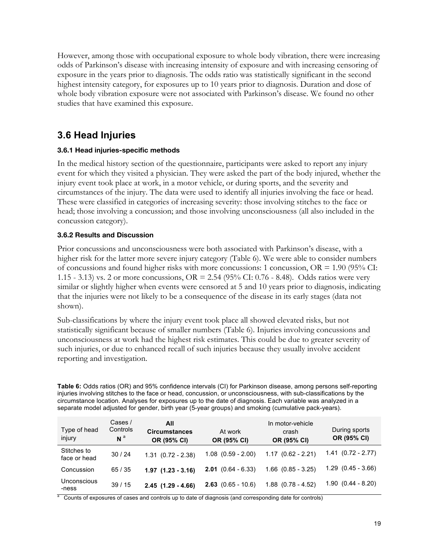However, among those with occupational exposure to whole body vibration, there were increasing odds of Parkinson's disease with increasing intensity of exposure and with increasing censoring of exposure in the years prior to diagnosis. The odds ratio was statistically significant in the second highest intensity category, for exposures up to 10 years prior to diagnosis. Duration and dose of whole body vibration exposure were not associated with Parkinson's disease. We found no other studies that have examined this exposure.

### **3.6 Head Injuries**

#### **3.6.1 Head injuries-specific methods**

In the medical history section of the questionnaire, participants were asked to report any injury event for which they visited a physician. They were asked the part of the body injured, whether the injury event took place at work, in a motor vehicle, or during sports, and the severity and circumstances of the injury. The data were used to identify all injuries involving the face or head. These were classified in categories of increasing severity: those involving stitches to the face or head; those involving a concussion; and those involving unconsciousness (all also included in the concussion category).

#### **3.6.2 Results and Discussion**

Prior concussions and unconsciousness were both associated with Parkinson's disease, with a higher risk for the latter more severe injury category (Table 6). We were able to consider numbers of concussions and found higher risks with more concussions: 1 concussion,  $OR = 1.90$  (95% CI: 1.15 - 3.13) vs. 2 or more concussions, OR = 2.54 (95% CI: 0.76 - 8.48). Odds ratios were very similar or slightly higher when events were censored at 5 and 10 years prior to diagnosis, indicating that the injuries were not likely to be a consequence of the disease in its early stages (data not shown).

Sub-classifications by where the injury event took place all showed elevated risks, but not statistically significant because of smaller numbers (Table 6). Injuries involving concussions and unconsciousness at work had the highest risk estimates. This could be due to greater severity of such injuries, or due to enhanced recall of such injuries because they usually involve accident reporting and investigation.

**Table 6:** Odds ratios (OR) and 95% confidence intervals (CI) for Parkinson disease, among persons self-reporting injuries involving stitches to the face or head, concussion, or unconsciousness, with sub-classifications by the circumstance location. Analyses for exposures up to the date of diagnosis. Each variable was analyzed in a separate model adjusted for gender, birth year (5-year groups) and smoking (cumulative pack-years).

| Type of head<br>injury      | Cases /<br>Controls<br>$\mathsf{N}$ <sup>a</sup> | All<br><b>Circumstances</b><br>OR (95% CI) | At work<br>OR (95% CI)      | In motor-vehicle<br>crash<br>OR (95% CI) | During sports<br>OR (95% CI) |
|-----------------------------|--------------------------------------------------|--------------------------------------------|-----------------------------|------------------------------------------|------------------------------|
| Stitches to<br>face or head | 30/24                                            | $1.31$ $(0.72 - 2.38)$                     | $1.08$ $(0.59 - 2.00)$      | $1.17(0.62 - 2.21)$                      | $1.41(0.72 - 2.77)$          |
| Concussion                  | 65/35                                            | $1.97$ $(1.23 - 3.16)$                     | <b>2.01</b> $(0.64 - 6.33)$ | $1.66$ $(0.85 - 3.25)$                   | $1.29$ $(0.45 - 3.66)$       |
| Unconscious<br>-ness        | 39/15                                            | $2.45$ (1.29 - 4.66)                       | <b>2.63</b> $(0.65 - 10.6)$ | $1.88$ $(0.78 - 4.52)$                   | $1.90(0.44 - 8.20)$          |

<sup>a</sup> Counts of exposures of cases and controls up to date of diagnosis (and corresponding date for controls)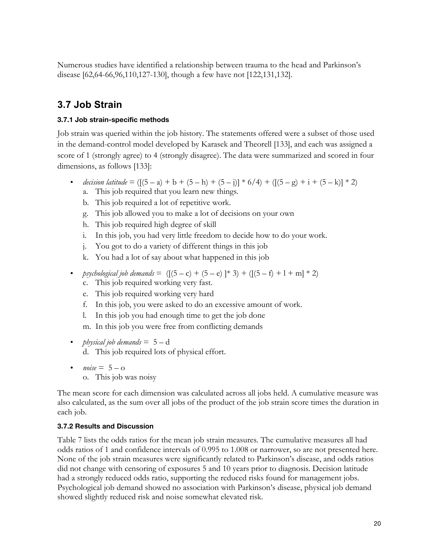Numerous studies have identified a relationship between trauma to the head and Parkinson's disease [62,64-66,96,110,127-130], though a few have not [122,131,132].

### **3.7 Job Strain**

#### **3.7.1 Job strain-specific methods**

Job strain was queried within the job history. The statements offered were a subset of those used in the demand-control model developed by Karasek and Theorell [133], and each was assigned a score of 1 (strongly agree) to 4 (strongly disagree). The data were summarized and scored in four dimensions, as follows [133]:

- *decision latitude* =  $([5 a) + b + (5 h) + (5 j)] * 6/4 + ([5 g) + i + (5 k)] * 2)$ a. This job required that you learn new things.
	- b. This job required a lot of repetitive work.
	- g. This job allowed you to make a lot of decisions on your own
	- h. This job required high degree of skill
	- i. In this job, you had very little freedom to decide how to do your work.
	- j. You got to do a variety of different things in this job
	- k. You had a lot of say about what happened in this job
- *psychological job demands* =  $([5 c) + (5 e)]$  \* 3) +  $([5 f) + 1 + m]$  \* 2)
	- c. This job required working very fast.
	- e. This job required working very hard
	- f. In this job, you were asked to do an excessive amount of work.
	- l. In this job you had enough time to get the job done
	- m. In this job you were free from conflicting demands
- *physical job demands* = 5 d d. This job required lots of physical effort.
- $noise = 5 o$ 
	- o. This job was noisy

The mean score for each dimension was calculated across all jobs held. A cumulative measure was also calculated, as the sum over all jobs of the product of the job strain score times the duration in each job.

### **3.7.2 Results and Discussion**

Table 7 lists the odds ratios for the mean job strain measures. The cumulative measures all had odds ratios of 1 and confidence intervals of 0.995 to 1.008 or narrower, so are not presented here. None of the job strain measures were significantly related to Parkinson's disease, and odds ratios did not change with censoring of exposures 5 and 10 years prior to diagnosis. Decision latitude had a strongly reduced odds ratio, supporting the reduced risks found for management jobs. Psychological job demand showed no association with Parkinson's disease, physical job demand showed slightly reduced risk and noise somewhat elevated risk.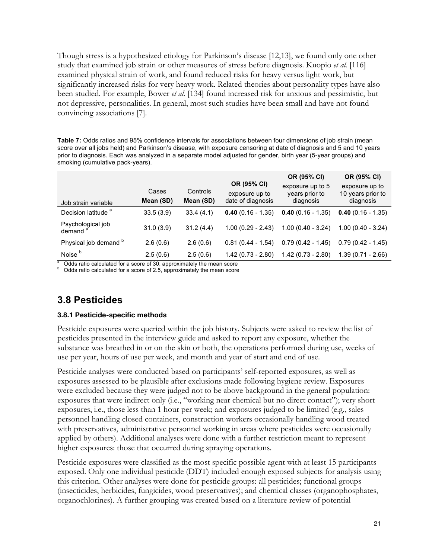Though stress is a hypothesized etiology for Parkinson's disease [12,13], we found only one other study that examined job strain or other measures of stress before diagnosis. Kuopio *et al.* [116] examined physical strain of work, and found reduced risks for heavy versus light work, but significantly increased risks for very heavy work. Related theories about personality types have also been studied. For example, Bower *et al.* [134] found increased risk for anxious and pessimistic, but not depressive, personalities. In general, most such studies have been small and have not found convincing associations [7].

**Table 7:** Odds ratios and 95% confidence intervals for associations between four dimensions of job strain (mean score over all jobs held) and Parkinson's disease, with exposure censoring at date of diagnosis and 5 and 10 years prior to diagnosis. Each was analyzed in a separate model adjusted for gender, birth year (5-year groups) and smoking (cumulative pack-years).

|                                          | Cases     | Controls  | OR (95% CI)<br>exposure up to | OR (95% CI)<br>exposure up to 5<br>years prior to | OR (95% CI)<br>exposure up to<br>10 years prior to |
|------------------------------------------|-----------|-----------|-------------------------------|---------------------------------------------------|----------------------------------------------------|
| Job strain variable                      | Mean (SD) | Mean (SD) | date of diagnosis             | diagnosis                                         | diagnosis                                          |
| Decision latitude <sup>a</sup>           | 33.5(3.9) | 33.4(4.1) | $0.40(0.16 - 1.35)$           | $0.40(0.16 - 1.35)$                               | $0.40(0.16 - 1.35)$                                |
| Psychological job<br>demand <sup>a</sup> | 31.0(3.9) | 31.2(4.4) | $1.00(0.29 - 2.43)$           | $1.00(0.40 - 3.24)$                               | $1.00(0.40 - 3.24)$                                |
| Physical job demand <sup>b</sup>         | 2.6(0.6)  | 2.6(0.6)  | $0.81(0.44 - 1.54)$           | $0.79(0.42 - 1.45)$                               | $0.79(0.42 - 1.45)$                                |
| Noise <sup>b</sup>                       | 2.5(0.6)  | 2.5(0.6)  | $1.42(0.73 - 2.80)$           | $1.42(0.73 - 2.80)$                               | $1.39(0.71 - 2.66)$                                |

Odds ratio calculated for a score of 30, approximately the mean score Odds ratio calculated for a score of 2.5, approximately the mean score

### **3.8 Pesticides**

#### **3.8.1 Pesticide-specific methods**

Pesticide exposures were queried within the job history. Subjects were asked to review the list of pesticides presented in the interview guide and asked to report any exposure, whether the substance was breathed in or on the skin or both, the operations performed during use, weeks of use per year, hours of use per week, and month and year of start and end of use.

Pesticide analyses were conducted based on participants' self-reported exposures, as well as exposures assessed to be plausible after exclusions made following hygiene review. Exposures were excluded because they were judged not to be above background in the general population: exposures that were indirect only (i.e., "working near chemical but no direct contact"); very short exposures, i.e., those less than 1 hour per week; and exposures judged to be limited (e.g., sales personnel handling closed containers, construction workers occasionally handling wood treated with preservatives, administrative personnel working in areas where pesticides were occasionally applied by others). Additional analyses were done with a further restriction meant to represent higher exposures: those that occurred during spraying operations.

Pesticide exposures were classified as the most specific possible agent with at least 15 participants exposed. Only one individual pesticide (DDT) included enough exposed subjects for analysis using this criterion. Other analyses were done for pesticide groups: all pesticides; functional groups (insecticides, herbicides, fungicides, wood preservatives); and chemical classes (organophosphates, organochlorines). A further grouping was created based on a literature review of potential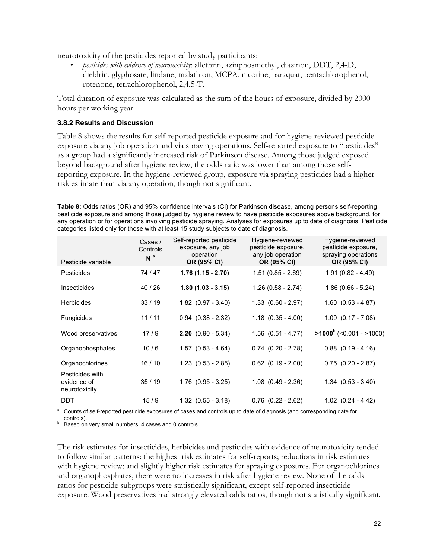neurotoxicity of the pesticides reported by study participants:

• *pesticides with evidence of neurotoxicity*: allethrin, azinphosmethyl, diazinon, DDT, 2,4-D, dieldrin, glyphosate, lindane, malathion, MCPA, nicotine, paraquat, pentachlorophenol, rotenone, tetrachlorophenol, 2,4,5-T.

Total duration of exposure was calculated as the sum of the hours of exposure, divided by 2000 hours per working year.

#### **3.8.2 Results and Discussion**

Table 8 shows the results for self-reported pesticide exposure and for hygiene-reviewed pesticide exposure via any job operation and via spraying operations. Self-reported exposure to "pesticides" as a group had a significantly increased risk of Parkinson disease. Among those judged exposed beyond background after hygiene review, the odds ratio was lower than among those selfreporting exposure. In the hygiene-reviewed group, exposure via spraying pesticides had a higher risk estimate than via any operation, though not significant.

**Table 8:** Odds ratios (OR) and 95% confidence intervals (CI) for Parkinson disease, among persons self-reporting pesticide exposure and among those judged by hygiene review to have pesticide exposures above background, for any operation or for operations involving pesticide spraying. Analyses for exposures up to date of diagnosis. Pesticide categories listed only for those with at least 15 study subjects to date of diagnosis.

| Pesticide variable                              | Cases /<br>Controls<br>N <sup>a</sup> | Self-reported pesticide<br>exposure, any job<br>operation<br>OR (95% CI) | Hygiene-reviewed<br>pesticide exposure,<br>any job operation<br>OR (95% CI) | Hygiene-reviewed<br>pesticide exposure,<br>spraying operations<br>OR (95% CI) |
|-------------------------------------------------|---------------------------------------|--------------------------------------------------------------------------|-----------------------------------------------------------------------------|-------------------------------------------------------------------------------|
| Pesticides                                      | 74/47                                 | $1.76(1.15 - 2.70)$                                                      | $1.51(0.85 - 2.69)$                                                         | $1.91(0.82 - 4.49)$                                                           |
| Insecticides                                    | 40/26                                 | $1.80(1.03 - 3.15)$                                                      | $1.26(0.58 - 2.74)$                                                         | $1.86(0.66 - 5.24)$                                                           |
| <b>Herbicides</b>                               | 33/19                                 | $1.82$ $(0.97 - 3.40)$                                                   | $1.33$ $(0.60 - 2.97)$                                                      | $1.60$ $(0.53 - 4.87)$                                                        |
| <b>Fungicides</b>                               | 11/11                                 | $0.94$ $(0.38 - 2.32)$                                                   | $1.18$ $(0.35 - 4.00)$                                                      | $1.09$ $(0.17 - 7.08)$                                                        |
| Wood preservatives                              | 17/9                                  | $2.20$ (0.90 - 5.34)                                                     | $1.56$ $(0.51 - 4.77)$                                                      | $>1000^{\circ}$ (<0.001 - >1000)                                              |
| Organophosphates                                | 10/6                                  | $1.57$ $(0.53 - 4.64)$                                                   | $0.74$ $(0.20 - 2.78)$                                                      | $0.88$ $(0.19 - 4.16)$                                                        |
| Organochlorines                                 | 16/10                                 | $1.23$ $(0.53 - 2.85)$                                                   | $0.62$ $(0.19 - 2.00)$                                                      | $0.75$ $(0.20 - 2.87)$                                                        |
| Pesticides with<br>evidence of<br>neurotoxicity | 35/19                                 | $1.76$ $(0.95 - 3.25)$                                                   | $1.08$ $(0.49 - 2.36)$                                                      | $1.34$ $(0.53 - 3.40)$                                                        |
| <b>DDT</b>                                      | 15/9                                  | $1.32$ $(0.55 - 3.18)$                                                   | $0.76$ $(0.22 - 2.62)$                                                      | $1.02$ $(0.24 - 4.42)$                                                        |

<sup>a</sup> Counts of self-reported pesticide exposures of cases and controls up to date of diagnosis (and corresponding date for

controls).<br>Based on very small numbers: 4 cases and 0 controls.

The risk estimates for insecticides, herbicides and pesticides with evidence of neurotoxicity tended to follow similar patterns: the highest risk estimates for self-reports; reductions in risk estimates with hygiene review; and slightly higher risk estimates for spraying exposures. For organochlorines and organophosphates, there were no increases in risk after hygiene review. None of the odds ratios for pesticide subgroups were statistically significant, except self-reported insecticide exposure. Wood preservatives had strongly elevated odds ratios, though not statistically significant.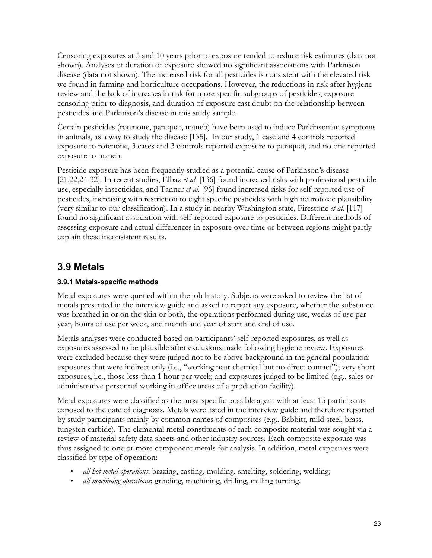Censoring exposures at 5 and 10 years prior to exposure tended to reduce risk estimates (data not shown). Analyses of duration of exposure showed no significant associations with Parkinson disease (data not shown). The increased risk for all pesticides is consistent with the elevated risk we found in farming and horticulture occupations. However, the reductions in risk after hygiene review and the lack of increases in risk for more specific subgroups of pesticides, exposure censoring prior to diagnosis, and duration of exposure cast doubt on the relationship between pesticides and Parkinson's disease in this study sample.

Certain pesticides (rotenone, paraquat, maneb) have been used to induce Parkinsonian symptoms in animals, as a way to study the disease [135]. In our study, 1 case and 4 controls reported exposure to rotenone, 3 cases and 3 controls reported exposure to paraquat, and no one reported exposure to maneb.

Pesticide exposure has been frequently studied as a potential cause of Parkinson's disease [21,22,24-32]. In recent studies, Elbaz *et al.* [136] found increased risks with professional pesticide use, especially insecticides, and Tanner *et al*. [96] found increased risks for self-reported use of pesticides, increasing with restriction to eight specific pesticides with high neurotoxic plausibility (very similar to our classification). In a study in nearby Washington state, Firestone *et al*. [117] found no significant association with self-reported exposure to pesticides. Different methods of assessing exposure and actual differences in exposure over time or between regions might partly explain these inconsistent results.

### **3.9 Metals**

### **3.9.1 Metals-specific methods**

Metal exposures were queried within the job history. Subjects were asked to review the list of metals presented in the interview guide and asked to report any exposure, whether the substance was breathed in or on the skin or both, the operations performed during use, weeks of use per year, hours of use per week, and month and year of start and end of use.

Metals analyses were conducted based on participants' self-reported exposures, as well as exposures assessed to be plausible after exclusions made following hygiene review. Exposures were excluded because they were judged not to be above background in the general population: exposures that were indirect only (i.e., "working near chemical but no direct contact"); very short exposures, i.e., those less than 1 hour per week; and exposures judged to be limited (e.g., sales or administrative personnel working in office areas of a production facility).

Metal exposures were classified as the most specific possible agent with at least 15 participants exposed to the date of diagnosis. Metals were listed in the interview guide and therefore reported by study participants mainly by common names of composites (e.g., Babbitt, mild steel, brass, tungsten carbide). The elemental metal constituents of each composite material was sought via a review of material safety data sheets and other industry sources. Each composite exposure was thus assigned to one or more component metals for analysis. In addition, metal exposures were classified by type of operation:

- *all hot metal operations*: brazing, casting, molding, smelting, soldering, welding;
- *all machining operations*: grinding, machining, drilling, milling turning.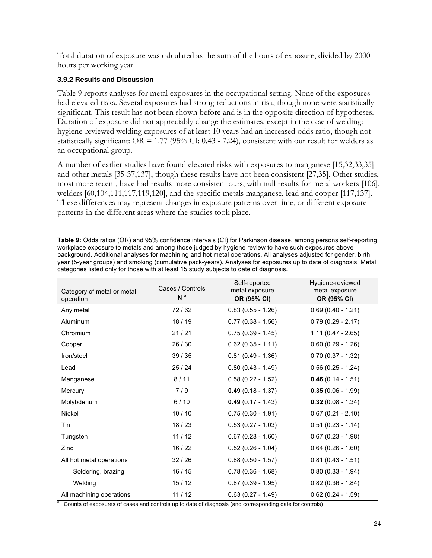Total duration of exposure was calculated as the sum of the hours of exposure, divided by 2000 hours per working year.

#### **3.9.2 Results and Discussion**

Table 9 reports analyses for metal exposures in the occupational setting. None of the exposures had elevated risks. Several exposures had strong reductions in risk, though none were statistically significant. This result has not been shown before and is in the opposite direction of hypotheses. Duration of exposure did not appreciably change the estimates, except in the case of welding: hygiene-reviewed welding exposures of at least 10 years had an increased odds ratio, though not statistically significant:  $OR = 1.77$  (95% CI: 0.43 - 7.24), consistent with our result for welders as an occupational group.

A number of earlier studies have found elevated risks with exposures to manganese [15,32,33,35] and other metals [35-37,137], though these results have not been consistent [27,35]. Other studies, most more recent, have had results more consistent ours, with null results for metal workers [106], welders [60,104,111,117,119,120], and the specific metals manganese, lead and copper [117,137]. These differences may represent changes in exposure patterns over time, or different exposure patterns in the different areas where the studies took place.

| Category of metal or metal<br>operation | Cases / Controls<br>N <sup>a</sup> | Self-reported<br>metal exposure<br>OR (95% CI) | Hygiene-reviewed<br>metal exposure<br>OR (95% CI) |
|-----------------------------------------|------------------------------------|------------------------------------------------|---------------------------------------------------|
| Any metal                               | 72/62                              | $0.83(0.55 - 1.26)$                            | $0.69(0.40 - 1.21)$                               |
| Aluminum                                | 18/19                              | $0.77(0.38 - 1.56)$                            | $0.79(0.29 - 2.17)$                               |
| Chromium                                | 21/21                              | $0.75(0.39 - 1.45)$                            | $1.11(0.47 - 2.65)$                               |
| Copper                                  | 26/30                              | $0.62(0.35 - 1.11)$                            | $0.60$ $(0.29 - 1.26)$                            |
| Iron/steel                              | 39/35                              | $0.81(0.49 - 1.36)$                            | $0.70(0.37 - 1.32)$                               |
| Lead                                    | 25/24                              | $0.80(0.43 - 1.49)$                            | $0.56(0.25 - 1.24)$                               |
| Manganese                               | 8/11                               | $0.58(0.22 - 1.52)$                            | $0.46(0.14 - 1.51)$                               |
| Mercury                                 | 7/9                                | $0.49(0.18 - 1.37)$                            | $0.35(0.06 - 1.99)$                               |
| Molybdenum                              | 6/10                               | $0.49(0.17 - 1.43)$                            | $0.32(0.08 - 1.34)$                               |
| Nickel                                  | 10/10                              | $0.75(0.30 - 1.91)$                            | $0.67(0.21 - 2.10)$                               |
| Tin                                     | 18/23                              | $0.53(0.27 - 1.03)$                            | $0.51(0.23 - 1.14)$                               |
| Tungsten                                | 11/12                              | $0.67(0.28 - 1.60)$                            | $0.67(0.23 - 1.98)$                               |
| Zinc                                    | 16/22                              | $0.52(0.26 - 1.04)$                            | $0.64$ (0.26 - 1.60)                              |
| All hot metal operations                | 32/26                              | $0.88(0.50 - 1.57)$                            | $0.81(0.43 - 1.51)$                               |
| Soldering, brazing                      | 16/15                              | $0.78(0.36 - 1.68)$                            | $0.80(0.33 - 1.94)$                               |
| Welding                                 | 15/12                              | $0.87(0.39 - 1.95)$                            | $0.82(0.36 - 1.84)$                               |
| All machining operations                | 11/12                              | $0.63(0.27 - 1.49)$                            | $0.62$ (0.24 - 1.59)                              |

**Table 9:** Odds ratios (OR) and 95% confidence intervals (CI) for Parkinson disease, among persons self-reporting workplace exposure to metals and among those judged by hygiene review to have such exposures above background. Additional analyses for machining and hot metal operations. All analyses adjusted for gender, birth year (5-year groups) and smoking (cumulative pack-years). Analyses for exposures up to date of diagnosis. Metal categories listed only for those with at least 15 study subjects to date of diagnosis.

Counts of exposures of cases and controls up to date of diagnosis (and corresponding date for controls)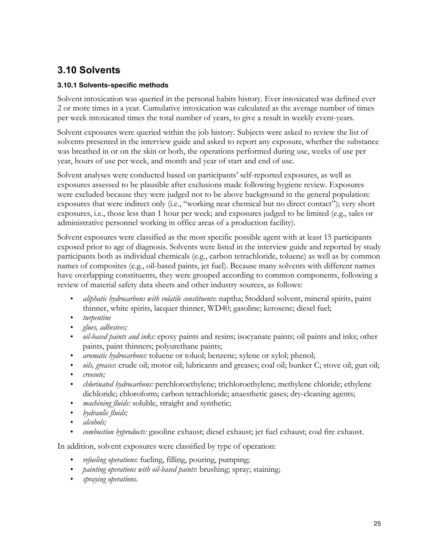### **3.10 Solvents**

#### **3.10.1 Solvents-specific methods**

Solvent intoxication was queried in the personal habits history. Ever intoxicated was defined ever 2 or more times in a year. Cumulative intoxication was calculated as the average number of times per week intoxicated times the total number of years, to give a result in weekly event-years.

Solvent exposures were queried within the job history. Subjects were asked to review the list of solvents presented in the interview guide and asked to report any exposure, whether the substance was breathed in or on the skin or both, the operations performed during use, weeks of use per year, hours of use per week, and month and year of start and end of use.

Solvent analyses were conducted based on participants' self-reported exposures, as well as exposures assessed to be plausible after exclusions made following hygiene review. Exposures were excluded because they were judged not to be above background in the general population: exposures that were indirect only (i.e., "working near chemical but no direct contact"); very short exposures, i.e., those less than 1 hour per week; and exposures judged to be limited (e.g., sales or administrative personnel working in office areas of a production facility).

Solvent exposures were classified as the most specific possible agent with at least 15 participants exposed prior to age of diagnosis. Solvents were listed in the interview guide and reported by study participants both as individual chemicals (e.g., carbon tetrachloride, toluene) as well as by common names of composites (e.g., oil-based paints, jet fuel). Because many solvents with different names have overlapping constituents, they were grouped according to common components, following a review of material safety data sheets and other industry sources, as follows:

- *aliphatic hydrocarbons with volatile constituents*: naptha; Stoddard solvent, mineral spirits, paint thinner, white spirits, lacquer thinner, WD40; gasoline; kerosene; diesel fuel;
- *turpentine*
- *glues, adhesives;*
- *oil-based paints and inks:* epoxy paints and resins; isocyanate paints; oil paints and inks; other paints, paint thinners; polyurethane paints;
- *aromatic hydrocarbons:* toluene or toluol; benzene; xylene or xylol; phenol;
- *oils, greases*: crude oil; motor oil; lubricants and greases; coal oil; bunker C; stove oil; gun oil;
- *creosote;*
- *chlorinated hydrocarbons:* perchloroethylene; trichloroethylene; methylene chloride; ethylene dichloride; chloroform; carbon tetrachloride; anaesthetic gases; dry-cleaning agents;
- *machining fluids:* soluble, straight and synthetic;
- *hydraulic fluids;*
- *alcohols;*
- *combustion byproducts:* gasoline exhaust; diesel exhaust; jet fuel exhaust; coal fire exhaust.

In addition, solvent exposures were classified by type of operation:

- *refueling operations*: fueling, filling, pouring, pumping;
- *painting operations with oil-based paints*: brushing; spray; staining;
- *spraying operations*.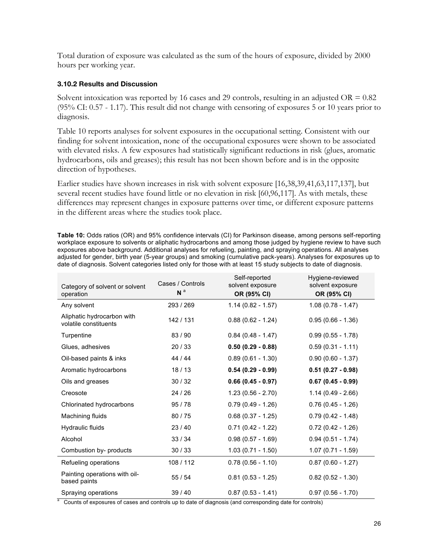Total duration of exposure was calculated as the sum of the hours of exposure, divided by 2000 hours per working year.

#### **3.10.2 Results and Discussion**

Solvent intoxication was reported by 16 cases and 29 controls, resulting in an adjusted  $OR = 0.82$ (95% CI: 0.57 - 1.17). This result did not change with censoring of exposures 5 or 10 years prior to diagnosis.

Table 10 reports analyses for solvent exposures in the occupational setting. Consistent with our finding for solvent intoxication, none of the occupational exposures were shown to be associated with elevated risks. A few exposures had statistically significant reductions in risk (glues, aromatic hydrocarbons, oils and greases); this result has not been shown before and is in the opposite direction of hypotheses.

Earlier studies have shown increases in risk with solvent exposure [16,38,39,41,63,117,137], but several recent studies have found little or no elevation in risk [60,96,117]. As with metals, these differences may represent changes in exposure patterns over time, or different exposure patterns in the different areas where the studies took place.

**Table 10:** Odds ratios (OR) and 95% confidence intervals (CI) for Parkinson disease, among persons self-reporting workplace exposure to solvents or aliphatic hydrocarbons and among those judged by hygiene review to have such exposures above background. Additional analyses for refueling, painting, and spraying operations. All analyses adjusted for gender, birth year (5-year groups) and smoking (cumulative pack-years). Analyses for exposures up to date of diagnosis. Solvent categories listed only for those with at least 15 study subjects to date of diagnosis.

| Category of solvent or solvent<br>operation         | Cases / Controls<br>N <sup>a</sup> | Self-reported<br>solvent exposure<br>OR (95% CI) | Hygiene-reviewed<br>solvent exposure<br>OR (95% CI) |
|-----------------------------------------------------|------------------------------------|--------------------------------------------------|-----------------------------------------------------|
| Any solvent                                         | 293/269                            | $1.14(0.82 - 1.57)$                              | $1.08(0.78 - 1.47)$                                 |
| Aliphatic hydrocarbon with<br>volatile constituents | 142 / 131                          | $0.88(0.62 - 1.24)$                              | $0.95(0.66 - 1.36)$                                 |
| Turpentine                                          | 83/90                              | $0.84(0.48 - 1.47)$                              | $0.99(0.55 - 1.78)$                                 |
| Glues, adhesives                                    | 20/33                              | $0.50(0.29 - 0.88)$                              | $0.59(0.31 - 1.11)$                                 |
| Oil-based paints & inks                             | 44 / 44                            | $0.89(0.61 - 1.30)$                              | $0.90(0.60 - 1.37)$                                 |
| Aromatic hydrocarbons                               | 18/13                              | $0.54(0.29 - 0.99)$                              | $0.51(0.27 - 0.98)$                                 |
| Oils and greases                                    | 30/32                              | $0.66(0.45 - 0.97)$                              | $0.67(0.45 - 0.99)$                                 |
| Creosote                                            | 24/26                              | $1.23(0.56 - 2.70)$                              | $1.14(0.49 - 2.66)$                                 |
| Chlorinated hydrocarbons                            | 95/78                              | $0.79(0.49 - 1.26)$                              | $0.76(0.45 - 1.26)$                                 |
| Machining fluids                                    | 80/75                              | $0.68$ (0.37 - 1.25)                             | $0.79(0.42 - 1.48)$                                 |
| Hydraulic fluids                                    | 23/40                              | $0.71(0.42 - 1.22)$                              | $0.72(0.42 - 1.26)$                                 |
| Alcohol                                             | 33/34                              | $0.98(0.57 - 1.69)$                              | $0.94(0.51 - 1.74)$                                 |
| Combustion by- products                             | 30/33                              | $1.03(0.71 - 1.50)$                              | $1.07(0.71 - 1.59)$                                 |
| Refueling operations                                | 108 / 112                          | $0.78(0.56 - 1.10)$                              | $0.87(0.60 - 1.27)$                                 |
| Painting operations with oil-<br>based paints       | 55/54                              | $0.81(0.53 - 1.25)$                              | $0.82(0.52 - 1.30)$                                 |
| Spraying operations                                 | 39/40                              | $0.87(0.53 - 1.41)$                              | $0.97(0.56 - 1.70)$                                 |

<sup>a</sup> Counts of exposures of cases and controls up to date of diagnosis (and corresponding date for controls)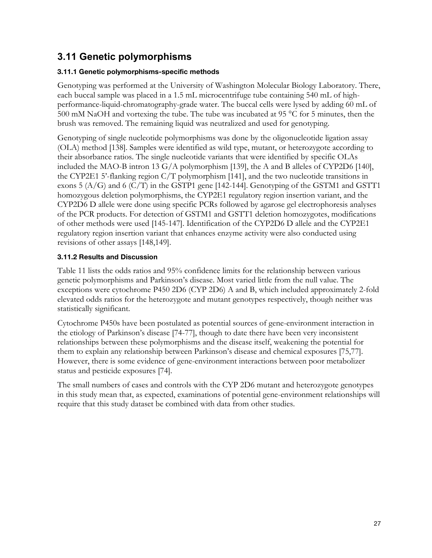### **3.11 Genetic polymorphisms**

### **3.11.1 Genetic polymorphisms-specific methods**

Genotyping was performed at the University of Washington Molecular Biology Laboratory. There, each buccal sample was placed in a 1.5 mL microcentrifuge tube containing 540 mL of highperformance-liquid-chromatography-grade water. The buccal cells were lysed by adding 60 mL of 500 mM NaOH and vortexing the tube. The tube was incubated at 95 °C for 5 minutes, then the brush was removed. The remaining liquid was neutralized and used for genotyping.

Genotyping of single nucleotide polymorphisms was done by the oligonucleotide ligation assay (OLA) method [138]. Samples were identified as wild type, mutant, or heterozygote according to their absorbance ratios. The single nucleotide variants that were identified by specific OLAs included the MAO-B intron 13 G/A polymorphism [139], the A and B alleles of CYP2D6 [140], the CYP2E1 5'-flanking region C/T polymorphism [141], and the two nucleotide transitions in exons  $5(A/G)$  and  $6(C/T)$  in the GSTP1 gene [142-144]. Genotyping of the GSTM1 and GSTT1 homozygous deletion polymorphisms, the CYP2E1 regulatory region insertion variant, and the CYP2D6 D allele were done using specific PCRs followed by agarose gel electrophoresis analyses of the PCR products. For detection of GSTM1 and GSTT1 deletion homozygotes, modifications of other methods were used [145-147]. Identification of the CYP2D6 D allele and the CYP2E1 regulatory region insertion variant that enhances enzyme activity were also conducted using revisions of other assays [148,149].

### **3.11.2 Results and Discussion**

Table 11 lists the odds ratios and 95% confidence limits for the relationship between various genetic polymorphisms and Parkinson's disease. Most varied little from the null value. The exceptions were cytochrome P450 2D6 (CYP 2D6) A and B, which included approximately 2-fold elevated odds ratios for the heterozygote and mutant genotypes respectively, though neither was statistically significant.

Cytochrome P450s have been postulated as potential sources of gene-environment interaction in the etiology of Parkinson's disease [74-77], though to date there have been very inconsistent relationships between these polymorphisms and the disease itself, weakening the potential for them to explain any relationship between Parkinson's disease and chemical exposures [75,77]. However, there is some evidence of gene-environment interactions between poor metabolizer status and pesticide exposures [74].

The small numbers of cases and controls with the CYP 2D6 mutant and heterozygote genotypes in this study mean that, as expected, examinations of potential gene-environment relationships will require that this study dataset be combined with data from other studies.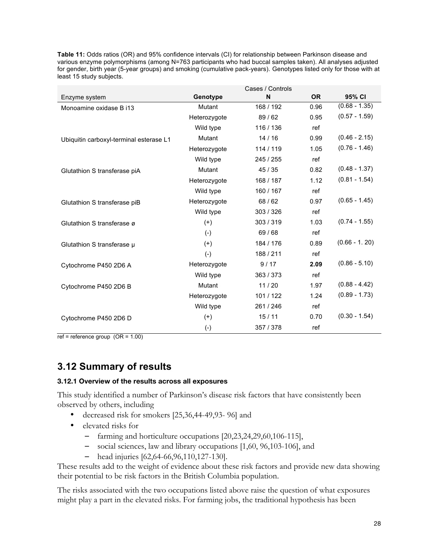|                                         |              | Cases / Controls |           |                 |
|-----------------------------------------|--------------|------------------|-----------|-----------------|
| Enzyme system                           | Genotype     | N                | <b>OR</b> | 95% CI          |
| Monoamine oxidase B i13                 | Mutant       | 168 / 192        | 0.96      | $(0.68 - 1.35)$ |
|                                         | Heterozygote | 89/62            | 0.95      | $(0.57 - 1.59)$ |
|                                         | Wild type    | 116 / 136        | ref       |                 |
| Ubiquitin carboxyl-terminal esterase L1 | Mutant       | 14/16            | 0.99      | $(0.46 - 2.15)$ |
|                                         | Heterozygote | 114 / 119        | 1.05      | $(0.76 - 1.46)$ |
|                                         | Wild type    | 245 / 255        | ref       |                 |
| Glutathion S transferase piA            | Mutant       | 45/35            | 0.82      | $(0.48 - 1.37)$ |
|                                         | Heterozygote | 168 / 187        | 1.12      | $(0.81 - 1.54)$ |
|                                         | Wild type    | 160 / 167        | ref       |                 |
| Glutathion S transferase piB            | Heterozygote | 68/62            | 0.97      | $(0.65 - 1.45)$ |
|                                         | Wild type    | 303 / 326        | ref       |                 |
| Glutathion S transferase ø              | $(+)$        | 303 / 319        | 1.03      | $(0.74 - 1.55)$ |
|                                         | $(-)$        | 69/68            | ref       |                 |
| Glutathion S transferase µ              | $^{(+)}$     | 184 / 176        | 0.89      | $(0.66 - 1.20)$ |
|                                         | $(-)$        | 188 / 211        | ref       |                 |
| Cytochrome P450 2D6 A                   | Heterozygote | 9/17             | 2.09      | $(0.86 - 5.10)$ |
|                                         | Wild type    | 363/373          | ref       |                 |
| Cytochrome P450 2D6 B                   | Mutant       | 11/20            | 1.97      | $(0.88 - 4.42)$ |
|                                         | Heterozygote | 101 / 122        | 1.24      | $(0.89 - 1.73)$ |
|                                         | Wild type    | 261 / 246        | ref       |                 |
| Cytochrome P450 2D6 D                   | $^{(+)}$     | 15/11            | 0.70      | $(0.30 - 1.54)$ |
|                                         | $(-)$        | 357 / 378        | ref       |                 |

**Table 11:** Odds ratios (OR) and 95% confidence intervals (CI) for relationship between Parkinson disease and various enzyme polymorphisms (among N=763 participants who had buccal samples taken). All analyses adjusted for gender, birth year (5-year groups) and smoking (cumulative pack-years). Genotypes listed only for those with at least 15 study subjects.

 $ref = reference group (OR = 1.00)$ 

### **3.12 Summary of results**

#### **3.12.1 Overview of the results across all exposures**

This study identified a number of Parkinson's disease risk factors that have consistently been observed by others, including

- decreased risk for smokers [25,36,44-49,93- 96] and
- elevated risks for
	- farming and horticulture occupations [20,23,24,29,60,106-115],
	- social sciences, law and library occupations [1,60, 96,103-106], and
	- head injuries [62,64-66,96,110,127-130].

These results add to the weight of evidence about these risk factors and provide new data showing their potential to be risk factors in the British Columbia population.

The risks associated with the two occupations listed above raise the question of what exposures might play a part in the elevated risks. For farming jobs, the traditional hypothesis has been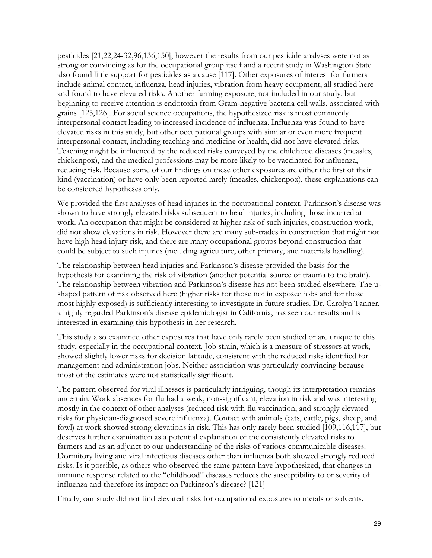pesticides [21,22,24-32,96,136,150], however the results from our pesticide analyses were not as strong or convincing as for the occupational group itself and a recent study in Washington State also found little support for pesticides as a cause [117]. Other exposures of interest for farmers include animal contact, influenza, head injuries, vibration from heavy equipment, all studied here and found to have elevated risks. Another farming exposure, not included in our study, but beginning to receive attention is endotoxin from Gram-negative bacteria cell walls, associated with grains [125,126]. For social science occupations, the hypothesized risk is most commonly interpersonal contact leading to increased incidence of influenza. Influenza was found to have elevated risks in this study, but other occupational groups with similar or even more frequent interpersonal contact, including teaching and medicine or health, did not have elevated risks. Teaching might be influenced by the reduced risks conveyed by the childhood diseases (measles, chickenpox), and the medical professions may be more likely to be vaccinated for influenza, reducing risk. Because some of our findings on these other exposures are either the first of their kind (vaccination) or have only been reported rarely (measles, chickenpox), these explanations can be considered hypotheses only.

We provided the first analyses of head injuries in the occupational context. Parkinson's disease was shown to have strongly elevated risks subsequent to head injuries, including those incurred at work. An occupation that might be considered at higher risk of such injuries, construction work, did not show elevations in risk. However there are many sub-trades in construction that might not have high head injury risk, and there are many occupational groups beyond construction that could be subject to such injuries (including agriculture, other primary, and materials handling).

The relationship between head injuries and Parkinson's disease provided the basis for the hypothesis for examining the risk of vibration (another potential source of trauma to the brain). The relationship between vibration and Parkinson's disease has not been studied elsewhere. The ushaped pattern of risk observed here (higher risks for those not in exposed jobs and for those most highly exposed) is sufficiently interesting to investigate in future studies. Dr. Carolyn Tanner, a highly regarded Parkinson's disease epidemiologist in California, has seen our results and is interested in examining this hypothesis in her research.

This study also examined other exposures that have only rarely been studied or are unique to this study, especially in the occupational context. Job strain, which is a measure of stressors at work, showed slightly lower risks for decision latitude, consistent with the reduced risks identified for management and administration jobs. Neither association was particularly convincing because most of the estimates were not statistically significant.

The pattern observed for viral illnesses is particularly intriguing, though its interpretation remains uncertain. Work absences for flu had a weak, non-significant, elevation in risk and was interesting mostly in the context of other analyses (reduced risk with flu vaccination, and strongly elevated risks for physician-diagnosed severe influenza). Contact with animals (cats, cattle, pigs, sheep, and fowl) at work showed strong elevations in risk. This has only rarely been studied [109,116,117], but deserves further examination as a potential explanation of the consistently elevated risks to farmers and as an adjunct to our understanding of the risks of various communicable diseases. Dormitory living and viral infectious diseases other than influenza both showed strongly reduced risks. Is it possible, as others who observed the same pattern have hypothesized, that changes in immune response related to the "childhood" diseases reduces the susceptibility to or severity of influenza and therefore its impact on Parkinson's disease? [121]

Finally, our study did not find elevated risks for occupational exposures to metals or solvents.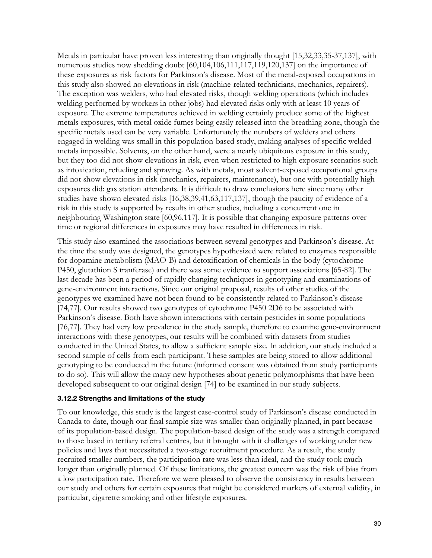Metals in particular have proven less interesting than originally thought [15,32,33,35-37,137], with numerous studies now shedding doubt [60,104,106,111,117,119,120,137] on the importance of these exposures as risk factors for Parkinson's disease. Most of the metal-exposed occupations in this study also showed no elevations in risk (machine-related technicians, mechanics, repairers). The exception was welders, who had elevated risks, though welding operations (which includes welding performed by workers in other jobs) had elevated risks only with at least 10 years of exposure. The extreme temperatures achieved in welding certainly produce some of the highest metals exposures, with metal oxide fumes being easily released into the breathing zone, though the specific metals used can be very variable. Unfortunately the numbers of welders and others engaged in welding was small in this population-based study, making analyses of specific welded metals impossible. Solvents, on the other hand, were a nearly ubiquitous exposure in this study, but they too did not show elevations in risk, even when restricted to high exposure scenarios such as intoxication, refueling and spraying. As with metals, most solvent-exposed occupational groups did not show elevations in risk (mechanics, repairers, maintenance), but one with potentially high exposures did: gas station attendants. It is difficult to draw conclusions here since many other studies have shown elevated risks [16,38,39,41,63,117,137], though the paucity of evidence of a risk in this study is supported by results in other studies, including a concurrent one in neighbouring Washington state [60,96,117]. It is possible that changing exposure patterns over time or regional differences in exposures may have resulted in differences in risk.

This study also examined the associations between several genotypes and Parkinson's disease. At the time the study was designed, the genotypes hypothesized were related to enzymes responsible for dopamine metabolism (MAO-B) and detoxification of chemicals in the body (cytochrome P450, glutathion S tranferase) and there was some evidence to support associations [65-82]. The last decade has been a period of rapidly changing techniques in genotyping and examinations of gene-environment interactions. Since our original proposal, results of other studies of the genotypes we examined have not been found to be consistently related to Parkinson's disease [74,77]. Our results showed two genotypes of cytochrome P450 2D6 to be associated with Parkinson's disease. Both have shown interactions with certain pesticides in some populations [76,77]. They had very low prevalence in the study sample, therefore to examine gene-environment interactions with these genotypes, our results will be combined with datasets from studies conducted in the United States, to allow a sufficient sample size. In addition, our study included a second sample of cells from each participant. These samples are being stored to allow additional genotyping to be conducted in the future (informed consent was obtained from study participants to do so). This will allow the many new hypotheses about genetic polymorphisms that have been developed subsequent to our original design [74] to be examined in our study subjects.

#### **3.12.2 Strengths and limitations of the study**

To our knowledge, this study is the largest case-control study of Parkinson's disease conducted in Canada to date, though our final sample size was smaller than originally planned, in part because of its population-based design. The population-based design of the study was a strength compared to those based in tertiary referral centres, but it brought with it challenges of working under new policies and laws that necessitated a two-stage recruitment procedure. As a result, the study recruited smaller numbers, the participation rate was less than ideal, and the study took much longer than originally planned. Of these limitations, the greatest concern was the risk of bias from a low participation rate. Therefore we were pleased to observe the consistency in results between our study and others for certain exposures that might be considered markers of external validity, in particular, cigarette smoking and other lifestyle exposures.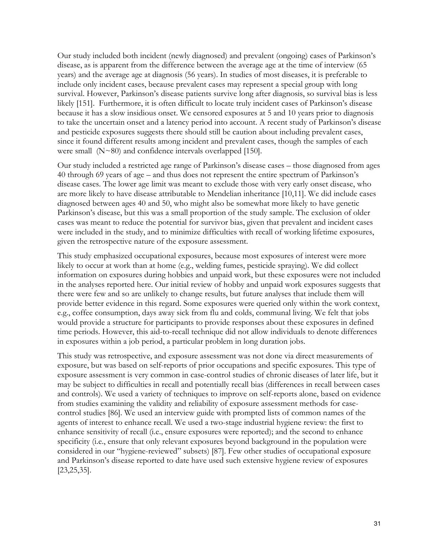Our study included both incident (newly diagnosed) and prevalent (ongoing) cases of Parkinson's disease, as is apparent from the difference between the average age at the time of interview (65 years) and the average age at diagnosis (56 years). In studies of most diseases, it is preferable to include only incident cases, because prevalent cases may represent a special group with long survival. However, Parkinson's disease patients survive long after diagnosis, so survival bias is less likely [151]. Furthermore, it is often difficult to locate truly incident cases of Parkinson's disease because it has a slow insidious onset. We censored exposures at 5 and 10 years prior to diagnosis to take the uncertain onset and a latency period into account. A recent study of Parkinson's disease and pesticide exposures suggests there should still be caution about including prevalent cases, since it found different results among incident and prevalent cases, though the samples of each were small (N~80) and confidence intervals overlapped [150].

Our study included a restricted age range of Parkinson's disease cases – those diagnosed from ages 40 through 69 years of age – and thus does not represent the entire spectrum of Parkinson's disease cases. The lower age limit was meant to exclude those with very early onset disease, who are more likely to have disease attributable to Mendelian inheritance [10,11]. We did include cases diagnosed between ages 40 and 50, who might also be somewhat more likely to have genetic Parkinson's disease, but this was a small proportion of the study sample. The exclusion of older cases was meant to reduce the potential for survivor bias, given that prevalent and incident cases were included in the study, and to minimize difficulties with recall of working lifetime exposures, given the retrospective nature of the exposure assessment.

This study emphasized occupational exposures, because most exposures of interest were more likely to occur at work than at home (e.g., welding fumes, pesticide spraying). We did collect information on exposures during hobbies and unpaid work, but these exposures were not included in the analyses reported here. Our initial review of hobby and unpaid work exposures suggests that there were few and so are unlikely to change results, but future analyses that include them will provide better evidence in this regard. Some exposures were queried only within the work context, e.g., coffee consumption, days away sick from flu and colds, communal living. We felt that jobs would provide a structure for participants to provide responses about these exposures in defined time periods. However, this aid-to-recall technique did not allow individuals to denote differences in exposures within a job period, a particular problem in long duration jobs.

This study was retrospective, and exposure assessment was not done via direct measurements of exposure, but was based on self-reports of prior occupations and specific exposures. This type of exposure assessment is very common in case-control studies of chronic diseases of later life, but it may be subject to difficulties in recall and potentially recall bias (differences in recall between cases and controls). We used a variety of techniques to improve on self-reports alone, based on evidence from studies examining the validity and reliability of exposure assessment methods for casecontrol studies [86]. We used an interview guide with prompted lists of common names of the agents of interest to enhance recall. We used a two-stage industrial hygiene review: the first to enhance sensitivity of recall (i.e., ensure exposures were reported); and the second to enhance specificity (i.e., ensure that only relevant exposures beyond background in the population were considered in our "hygiene-reviewed" subsets) [87]. Few other studies of occupational exposure and Parkinson's disease reported to date have used such extensive hygiene review of exposures [23,25,35].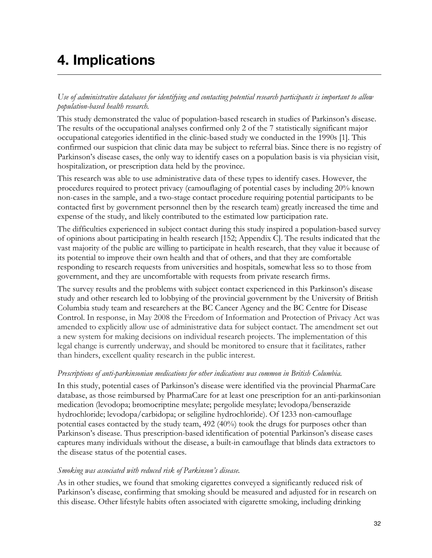## **4. Implications**

*Use of administrative databases for identifying and contacting potential research participants is important to allow population-based health research.*

This study demonstrated the value of population-based research in studies of Parkinson's disease. The results of the occupational analyses confirmed only 2 of the 7 statistically significant major occupational categories identified in the clinic-based study we conducted in the 1990s [1]. This confirmed our suspicion that clinic data may be subject to referral bias. Since there is no registry of Parkinson's disease cases, the only way to identify cases on a population basis is via physician visit, hospitalization, or prescription data held by the province.

This research was able to use administrative data of these types to identify cases. However, the procedures required to protect privacy (camouflaging of potential cases by including 20% known non-cases in the sample, and a two-stage contact procedure requiring potential participants to be contacted first by government personnel then by the research team) greatly increased the time and expense of the study, and likely contributed to the estimated low participation rate.

The difficulties experienced in subject contact during this study inspired a population-based survey of opinions about participating in health research [152; Appendix C]. The results indicated that the vast majority of the public are willing to participate in health research, that they value it because of its potential to improve their own health and that of others, and that they are comfortable responding to research requests from universities and hospitals, somewhat less so to those from government, and they are uncomfortable with requests from private research firms.

The survey results and the problems with subject contact experienced in this Parkinson's disease study and other research led to lobbying of the provincial government by the University of British Columbia study team and researchers at the BC Cancer Agency and the BC Centre for Disease Control. In response, in May 2008 the Freedom of Information and Protection of Privacy Act was amended to explicitly allow use of administrative data for subject contact. The amendment set out a new system for making decisions on individual research projects. The implementation of this legal change is currently underway, and should be monitored to ensure that it facilitates, rather than hinders, excellent quality research in the public interest.

#### *Prescriptions of anti-parkinsonian medications for other indications was common in British Columbia.*

In this study, potential cases of Parkinson's disease were identified via the provincial PharmaCare database, as those reimbursed by PharmaCare for at least one prescription for an anti-parkinsonian medication (levodopa; bromocriptine mesylate; pergolide mesylate; levodopa/benserazide hydrochloride; levodopa/carbidopa; or seligiline hydrochloride). Of 1233 non-camouflage potential cases contacted by the study team, 492 (40%) took the drugs for purposes other than Parkinson's disease. Thus prescription-based identification of potential Parkinson's disease cases captures many individuals without the disease, a built-in camouflage that blinds data extractors to the disease status of the potential cases.

#### *Smoking was associated with reduced risk of Parkinson's disease.*

As in other studies, we found that smoking cigarettes conveyed a significantly reduced risk of Parkinson's disease, confirming that smoking should be measured and adjusted for in research on this disease. Other lifestyle habits often associated with cigarette smoking, including drinking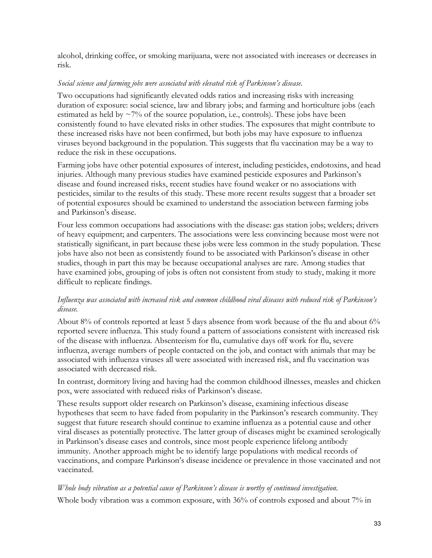alcohol, drinking coffee, or smoking marijuana, were not associated with increases or decreases in risk.

#### *Social science and farming jobs were associated with elevated risk of Parkinson's disease.*

Two occupations had significantly elevated odds ratios and increasing risks with increasing duration of exposure: social science, law and library jobs; and farming and horticulture jobs (each estimated as held by  $\sim$ 7% of the source population, i.e., controls). These jobs have been consistently found to have elevated risks in other studies. The exposures that might contribute to these increased risks have not been confirmed, but both jobs may have exposure to influenza viruses beyond background in the population. This suggests that flu vaccination may be a way to reduce the risk in these occupations.

Farming jobs have other potential exposures of interest, including pesticides, endotoxins, and head injuries. Although many previous studies have examined pesticide exposures and Parkinson's disease and found increased risks, recent studies have found weaker or no associations with pesticides, similar to the results of this study. These more recent results suggest that a broader set of potential exposures should be examined to understand the association between farming jobs and Parkinson's disease.

Four less common occupations had associations with the disease: gas station jobs; welders; drivers of heavy equipment; and carpenters. The associations were less convincing because most were not statistically significant, in part because these jobs were less common in the study population. These jobs have also not been as consistently found to be associated with Parkinson's disease in other studies, though in part this may be because occupational analyses are rare. Among studies that have examined jobs, grouping of jobs is often not consistent from study to study, making it more difficult to replicate findings.

#### *Influenza was associated with increased risk and common childhood viral diseases with reduced risk of Parkinson's disease.*

About 8% of controls reported at least 5 days absence from work because of the flu and about 6% reported severe influenza. This study found a pattern of associations consistent with increased risk of the disease with influenza. Absenteeism for flu, cumulative days off work for flu, severe influenza, average numbers of people contacted on the job, and contact with animals that may be associated with influenza viruses all were associated with increased risk, and flu vaccination was associated with decreased risk.

In contrast, dormitory living and having had the common childhood illnesses, measles and chicken pox, were associated with reduced risks of Parkinson's disease.

These results support older research on Parkinson's disease, examining infectious disease hypotheses that seem to have faded from popularity in the Parkinson's research community. They suggest that future research should continue to examine influenza as a potential cause and other viral diseases as potentially protective. The latter group of diseases might be examined serologically in Parkinson's disease cases and controls, since most people experience lifelong antibody immunity. Another approach might be to identify large populations with medical records of vaccinations, and compare Parkinson's disease incidence or prevalence in those vaccinated and not vaccinated.

### *Whole body vibration as a potential cause of Parkinson's disease is worthy of continued investigation.* Whole body vibration was a common exposure, with 36% of controls exposed and about 7% in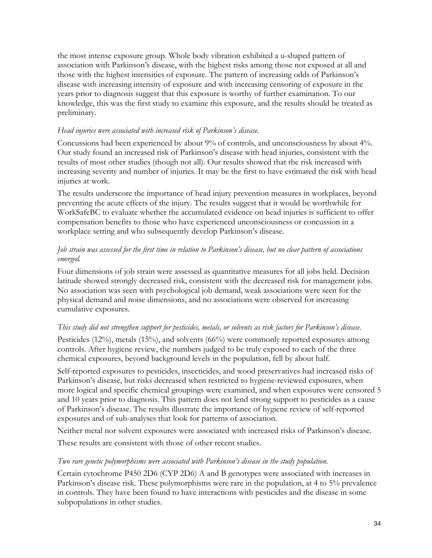the most intense exposure group. Whole body vibration exhibited a u-shaped pattern of association with Parkinson's disease, with the highest risks among those not exposed at all and those with the highest intensities of exposure. The pattern of increasing odds of Parkinson's disease with increasing intensity of exposure and with increasing censoring of exposure in the years prior to diagnosis suggest that this exposure is worthy of further examination. To our knowledge, this was the first study to examine this exposure, and the results should be treated as preliminary.

#### *Head injuries were associated with increased risk of Parkinson's disease.*

Concussions had been experienced by about 9% of controls, and unconsciousness by about 4%. Our study found an increased risk of Parkinson's disease with head injuries, consistent with the results of most other studies (though not all). Our results showed that the risk increased with increasing severity and number of injuries. It may be the first to have estimated the risk with head injuries at work.

The results underscore the importance of head injury prevention measures in workplaces, beyond preventing the acute effects of the injury. The results suggest that it would be worthwhile for WorkSafeBC to evaluate whether the accumulated evidence on head injuries is sufficient to offer compensation benefits to those who have experienced unconsciousness or concussion in a workplace setting and who subsequently develop Parkinson's disease.

#### *Job strain was assessed for the first time in relation to Parkinson's disease, but no clear pattern of associations emerged.*

Four dimensions of job strain were assessed as quantitative measures for all jobs held. Decision latitude showed strongly decreased risk, consistent with the decreased risk for management jobs. No association was seen with psychological job demand, weak associations were seen for the physical demand and noise dimensions, and no associations were observed for increasing cumulative exposures.

#### *This study did not strengthen support for pesticides, metals, or solvents as risk factors for Parkinson's disease.*

Pesticides (12%), metals (15%), and solvents (66%) were commonly reported exposures among controls. After hygiene review, the numbers judged to be truly exposed to each of the three chemical exposures, beyond background levels in the population, fell by about half.

Self-reported exposures to pesticides, insecticides, and wood preservatives had increased risks of Parkinson's disease, but risks decreased when restricted to hygiene-reviewed exposures, when more logical and specific chemical groupings were examined, and when exposures were censored 5 and 10 years prior to diagnosis. This pattern does not lend strong support to pesticides as a cause of Parkinson's disease. The results illustrate the importance of hygiene review of self-reported exposures and of sub-analyses that look for patterns of association.

Neither metal nor solvent exposures were associated with increased risks of Parkinson's disease.

These results are consistent with those of other recent studies.

#### *Two rare genetic polymorphisms were associated with Parkinson's disease in the study population.*

Certain cytochrome P450 2D6 (CYP 2D6) A and B genotypes were associated with increases in Parkinson's disease risk. These polymorphisms were rare in the population, at 4 to 5% prevalence in controls. They have been found to have interactions with pesticides and the disease in some subpopulations in other studies.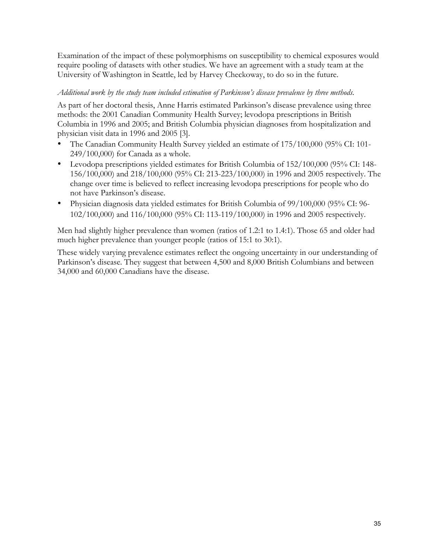Examination of the impact of these polymorphisms on susceptibility to chemical exposures would require pooling of datasets with other studies. We have an agreement with a study team at the University of Washington in Seattle, led by Harvey Checkoway, to do so in the future.

#### *Additional work by the study team included estimation of Parkinson's disease prevalence by three methods.*

As part of her doctoral thesis, Anne Harris estimated Parkinson's disease prevalence using three methods: the 2001 Canadian Community Health Survey; levodopa prescriptions in British Columbia in 1996 and 2005; and British Columbia physician diagnoses from hospitalization and physician visit data in 1996 and 2005 [3].

- The Canadian Community Health Survey yielded an estimate of 175/100,000 (95% CI: 101-249/100,000) for Canada as a whole.
- Levodopa prescriptions yielded estimates for British Columbia of 152/100,000 (95% CI: 148- 156/100,000) and 218/100,000 (95% CI: 213-223/100,000) in 1996 and 2005 respectively. The change over time is believed to reflect increasing levodopa prescriptions for people who do not have Parkinson's disease.
- Physician diagnosis data yielded estimates for British Columbia of 99/100,000 (95% CI: 96-102/100,000) and 116/100,000 (95% CI: 113-119/100,000) in 1996 and 2005 respectively.

Men had slightly higher prevalence than women (ratios of 1.2:1 to 1.4:1). Those 65 and older had much higher prevalence than younger people (ratios of 15:1 to 30:1).

These widely varying prevalence estimates reflect the ongoing uncertainty in our understanding of Parkinson's disease. They suggest that between 4,500 and 8,000 British Columbians and between 34,000 and 60,000 Canadians have the disease.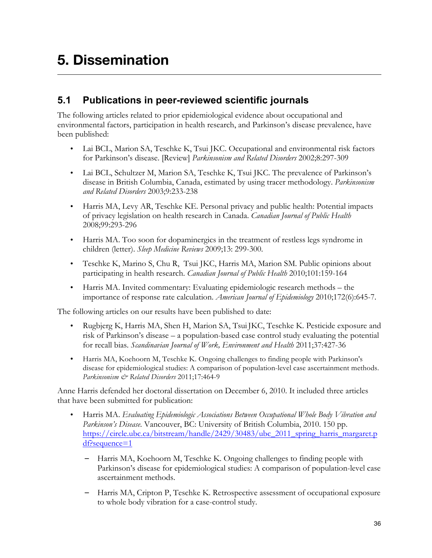# **5. Dissemination**

### **5.1 Publications in peer-reviewed scientific journals**

The following articles related to prior epidemiological evidence about occupational and environmental factors, participation in health research, and Parkinson's disease prevalence, have been published:

- Lai BCL, Marion SA, Teschke K, Tsui JKC. Occupational and environmental risk factors for Parkinson's disease. [Review] *Parkinsonism and Related Disorders* 2002;8:297-309
- Lai BCL, Schultzer M, Marion SA, Teschke K, Tsui JKC. The prevalence of Parkinson's disease in British Columbia, Canada, estimated by using tracer methodology. *Parkinsonism and Related Disorders* 2003;9:233-238
- Harris MA, Levy AR, Teschke KE. Personal privacy and public health: Potential impacts of privacy legislation on health research in Canada. *Canadian Journal of Public Health* 2008;99:293-296
- Harris MA. Too soon for dopaminergics in the treatment of restless legs syndrome in children (letter). *Sleep Medicine Reviews* 2009;13: 299-300.
- Teschke K, Marino S, Chu R, Tsui JKC, Harris MA, Marion SM. Public opinions about participating in health research. *Canadian Journal of Public Health* 2010;101:159-164
- Harris MA. Invited commentary: Evaluating epidemiologic research methods the importance of response rate calculation. *American Journal of Epidemiology* 2010;172(6):645-7.

The following articles on our results have been published to date:

- Rugbjerg K, Harris MA, Shen H, Marion SA, Tsui JKC, Teschke K. Pesticide exposure and risk of Parkinson's disease – a population-based case control study evaluating the potential for recall bias. *Scandinavian Journal of Work, Environment and Health* 2011;37:427-36
- Harris MA, Koehoorn M, Teschke K. Ongoing challenges to finding people with Parkinson's disease for epidemiological studies: A comparison of population-level case ascertainment methods. *Parkinsonism & Related Disorders* 2011;17:464-9

Anne Harris defended her doctoral dissertation on December 6, 2010. It included three articles that have been submitted for publication:

- Harris MA. *Evaluating Epidemiologic Associations Between Occupational Whole Body Vibration and Parkinson's Disease*. Vancouver, BC: University of British Columbia, 2010. 150 pp. https://circle.ubc.ca/bitstream/handle/2429/30483/ubc\_2011\_spring\_harris\_margaret.p df?sequence=1
	- Harris MA, Koehoorn M, Teschke K. Ongoing challenges to finding people with Parkinson's disease for epidemiological studies: A comparison of population-level case ascertainment methods.
	- Harris MA, Cripton P, Teschke K. Retrospective assessment of occupational exposure to whole body vibration for a case-control study.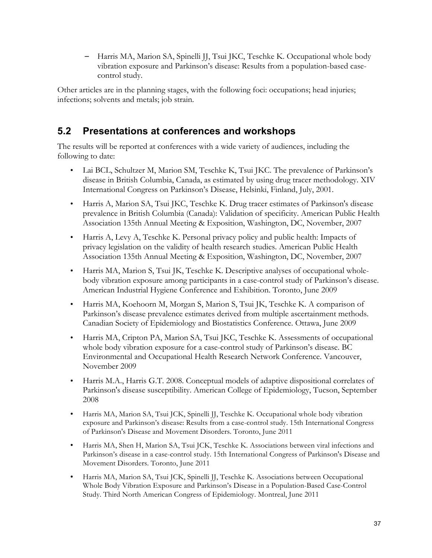– Harris MA, Marion SA, Spinelli JJ, Tsui JKC, Teschke K. Occupational whole body vibration exposure and Parkinson's disease: Results from a population-based casecontrol study.

Other articles are in the planning stages, with the following foci: occupations; head injuries; infections; solvents and metals; job strain.

### **5.2 Presentations at conferences and workshops**

The results will be reported at conferences with a wide variety of audiences, including the following to date:

- Lai BCL, Schultzer M, Marion SM, Teschke K, Tsui JKC. The prevalence of Parkinson's disease in British Columbia, Canada, as estimated by using drug tracer methodology. XIV International Congress on Parkinson's Disease, Helsinki, Finland, July, 2001.
- Harris A, Marion SA, Tsui JKC, Teschke K. Drug tracer estimates of Parkinson's disease prevalence in British Columbia (Canada): Validation of specificity. American Public Health Association 135th Annual Meeting & Exposition, Washington, DC, November, 2007
- Harris A, Levy A, Teschke K. Personal privacy policy and public health: Impacts of privacy legislation on the validity of health research studies. American Public Health Association 135th Annual Meeting & Exposition, Washington, DC, November, 2007
- Harris MA, Marion S, Tsui JK, Teschke K. Descriptive analyses of occupational wholebody vibration exposure among participants in a case-control study of Parkinson's disease. American Industrial Hygiene Conference and Exhibition. Toronto, June 2009
- Harris MA, Koehoorn M, Morgan S, Marion S, Tsui JK, Teschke K. A comparison of Parkinson's disease prevalence estimates derived from multiple ascertainment methods. Canadian Society of Epidemiology and Biostatistics Conference. Ottawa, June 2009
- Harris MA, Cripton PA, Marion SA, Tsui JKC, Teschke K. Assessments of occupational whole body vibration exposure for a case-control study of Parkinson's disease. BC Environmental and Occupational Health Research Network Conference. Vancouver, November 2009
- Harris M.A., Harris G.T. 2008. Conceptual models of adaptive dispositional correlates of Parkinson's disease susceptibility. American College of Epidemiology, Tucson, September 2008
- Harris MA, Marion SA, Tsui JCK, Spinelli JJ, Teschke K. Occupational whole body vibration exposure and Parkinson's disease: Results from a case-control study. 15th International Congress of Parkinson's Disease and Movement Disorders. Toronto, June 2011
- Harris MA, Shen H, Marion SA, Tsui JCK, Teschke K. Associations between viral infections and Parkinson's disease in a case-control study. 15th International Congress of Parkinson's Disease and Movement Disorders. Toronto, June 2011
- Harris MA, Marion SA, Tsui JCK, Spinelli JJ, Teschke K. Associations between Occupational Whole Body Vibration Exposure and Parkinson's Disease in a Population-Based Case-Control Study. Third North American Congress of Epidemiology. Montreal, June 2011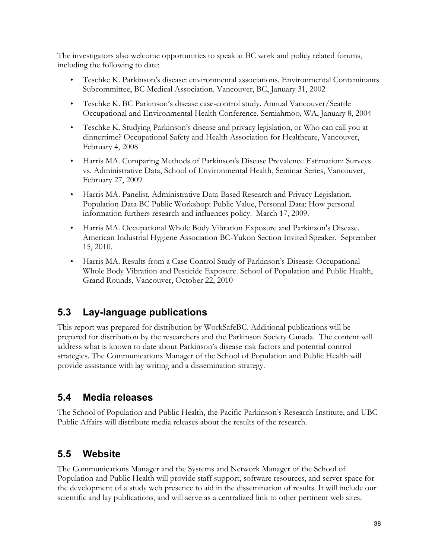The investigators also welcome opportunities to speak at BC work and policy related forums, including the following to date:

- Teschke K. Parkinson's disease: environmental associations. Environmental Contaminants Subcommittee, BC Medical Association. Vancouver, BC, January 31, 2002
- Teschke K. BC Parkinson's disease case-control study. Annual Vancouver/Seattle Occupational and Environmental Health Conference. Semiahmoo, WA, January 8, 2004
- Teschke K. Studying Parkinson's disease and privacy legislation, or Who can call you at dinnertime? Occupational Safety and Health Association for Healthcare, Vancouver, February 4, 2008
- Harris MA. Comparing Methods of Parkinson's Disease Prevalence Estimation: Surveys vs. Administrative Data, School of Environmental Health, Seminar Series, Vancouver, February 27, 2009
- Harris MA. Panelist, Administrative Data-Based Research and Privacy Legislation. Population Data BC Public Workshop: Public Value, Personal Data: How personal information furthers research and influences policy. March 17, 2009.
- Harris MA. Occupational Whole Body Vibration Exposure and Parkinson's Disease. American Industrial Hygiene Association BC-Yukon Section Invited Speaker. September 15, 2010.
- Harris MA. Results from a Case Control Study of Parkinson's Disease: Occupational Whole Body Vibration and Pesticide Exposure. School of Population and Public Health, Grand Rounds, Vancouver, October 22, 2010

### **5.3 Lay-language publications**

This report was prepared for distribution by WorkSafeBC. Additional publications will be prepared for distribution by the researchers and the Parkinson Society Canada. The content will address what is known to date about Parkinson's disease risk factors and potential control strategies. The Communications Manager of the School of Population and Public Health will provide assistance with lay writing and a dissemination strategy.

### **5.4 Media releases**

The School of Population and Public Health, the Pacific Parkinson's Research Institute, and UBC Public Affairs will distribute media releases about the results of the research.

### **5.5 Website**

The Communications Manager and the Systems and Network Manager of the School of Population and Public Health will provide staff support, software resources, and server space for the development of a study web presence to aid in the dissemination of results. It will include our scientific and lay publications, and will serve as a centralized link to other pertinent web sites.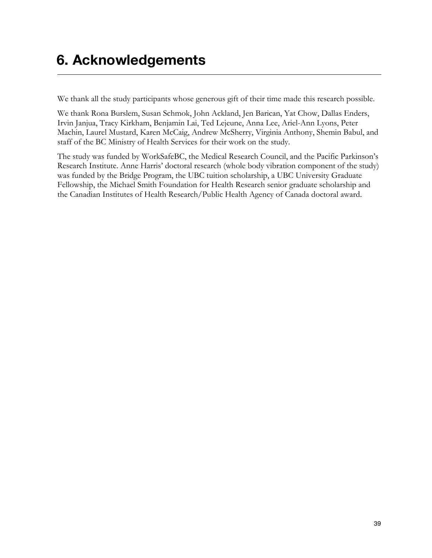## **6. Acknowledgements**

We thank all the study participants whose generous gift of their time made this research possible.

We thank Rona Burslem, Susan Schmok, John Ackland, Jen Barican, Yat Chow, Dallas Enders, Irvin Janjua, Tracy Kirkham, Benjamin Lai, Ted Lejeune, Anna Lee, Ariel-Ann Lyons, Peter Machin, Laurel Mustard, Karen McCaig, Andrew McSherry, Virginia Anthony, Shemin Babul, and staff of the BC Ministry of Health Services for their work on the study.

The study was funded by WorkSafeBC, the Medical Research Council, and the Pacific Parkinson's Research Institute. Anne Harris' doctoral research (whole body vibration component of the study) was funded by the Bridge Program, the UBC tuition scholarship, a UBC University Graduate Fellowship, the Michael Smith Foundation for Health Research senior graduate scholarship and the Canadian Institutes of Health Research/Public Health Agency of Canada doctoral award.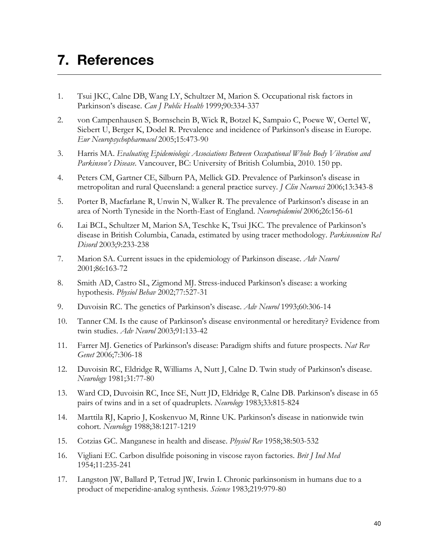## **7. References**

- 1. Tsui JKC, Calne DB, Wang LY, Schultzer M, Marion S. Occupational risk factors in Parkinson's disease. *Can J Public Health* 1999;90:334-337
- 2. von Campenhausen S, Bornschein B, Wick R, Botzel K, Sampaio C, Poewe W, Oertel W, Siebert U, Berger K, Dodel R. Prevalence and incidence of Parkinson's disease in Europe. *Eur Neuropsychopharmacol* 2005;15:473-90
- 3. Harris MA. *Evaluating Epidemiologic Associations Between Occupational Whole Body Vibration and Parkinson's Disease*. Vancouver, BC: University of British Columbia, 2010. 150 pp.
- 4. Peters CM, Gartner CE, Silburn PA, Mellick GD. Prevalence of Parkinson's disease in metropolitan and rural Queensland: a general practice survey. *J Clin Neurosci* 2006;13:343-8
- 5. Porter B, Macfarlane R, Unwin N, Walker R. The prevalence of Parkinson's disease in an area of North Tyneside in the North-East of England. *Neuroepidemiol* 2006;26:156-61
- 6. Lai BCL, Schultzer M, Marion SA, Teschke K, Tsui JKC. The prevalence of Parkinson's disease in British Columbia, Canada, estimated by using tracer methodology. *Parkinsonism Rel Disord* 2003;9:233-238
- 7. Marion SA. Current issues in the epidemiology of Parkinson disease. *Adv Neurol*  2001;86:163-72
- 8. Smith AD, Castro SL, Zigmond MJ. Stress-induced Parkinson's disease: a working hypothesis. *Physiol Behav* 2002;77:527-31
- 9. Duvoisin RC. The genetics of Parkinson's disease. *Adv Neurol* 1993;60:306-14
- 10. Tanner CM. Is the cause of Parkinson's disease environmental or hereditary? Evidence from twin studies. *Adv Neurol* 2003;91:133-42
- 11. Farrer MJ. Genetics of Parkinson's disease: Paradigm shifts and future prospects. *Nat Rev Genet* 2006;7:306-18
- 12. Duvoisin RC, Eldridge R, Williams A, Nutt J, Calne D. Twin study of Parkinson's disease. *Neurology* 1981;31:77-80
- 13. Ward CD, Duvoisin RC, Ince SE, Nutt JD, Eldridge R, Calne DB. Parkinson's disease in 65 pairs of twins and in a set of quadruplets. *Neurology* 1983;33:815-824
- 14. Marttila RJ, Kaprio J, Koskenvuo M, Rinne UK. Parkinson's disease in nationwide twin cohort. *Neurology* 1988;38:1217-1219
- 15. Cotzias GC. Manganese in health and disease. *Physiol Rev* 1958;38:503-532
- 16. Vigliani EC. Carbon disulfide poisoning in viscose rayon factories. *Brit J Ind Med* 1954;11:235-241
- 17. Langston JW, Ballard P, Tetrud JW, Irwin I. Chronic parkinsonism in humans due to a product of meperidine-analog synthesis. *Science* 1983;219:979-80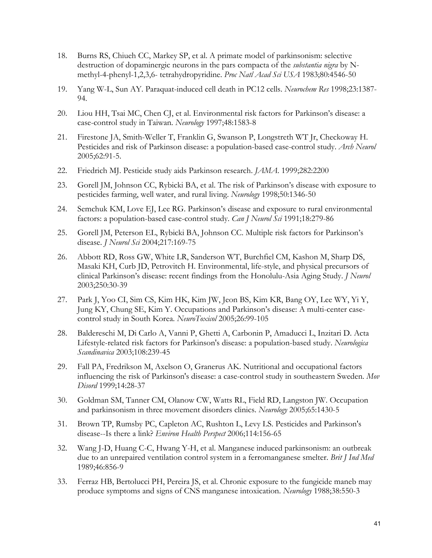- 18. Burns RS, Chiueh CC, Markey SP, et al. A primate model of parkinsonism: selective destruction of dopaminergic neurons in the pars compacta of the *substantia nigra* by Nmethyl-4-phenyl-1,2,3,6- tetrahydropyridine. *Proc Natl Acad Sci USA* 1983;80:4546-50
- 19. Yang W-L, Sun AY. Paraquat-induced cell death in PC12 cells. *Neurochem Res* 1998;23:1387- 94.
- 20. Liou HH, Tsai MC, Chen CJ, et al. Environmental risk factors for Parkinson's disease: a case-control study in Taiwan. *Neurology* 1997;48:1583-8
- 21. Firestone JA, Smith-Weller T, Franklin G, Swanson P, Longstreth WT Jr, Checkoway H. Pesticides and risk of Parkinson disease: a population-based case-control study. *Arch Neurol* 2005;62:91-5.
- 22. Friedrich MJ. Pesticide study aids Parkinson research. *JAMA*. 1999;282:2200
- 23. Gorell JM, Johnson CC, Rybicki BA, et al. The risk of Parkinson's disease with exposure to pesticides farming, well water, and rural living. *Neurology* 1998;50:1346-50
- 24. Semchuk KM, Love EJ, Lee RG. Parkinson's disease and exposure to rural environmental factors: a population-based case-control study. *Can J Neurol Sci* 1991;18:279-86
- 25. Gorell JM, Peterson EL, Rybicki BA, Johnson CC. Multiple risk factors for Parkinson's disease. *J Neurol Sci* 2004;217:169-75
- 26. Abbott RD, Ross GW, White LR, Sanderson WT, Burchfiel CM, Kashon M, Sharp DS, Masaki KH, Curb JD, Petrovitch H. Environmental, life-style, and physical precursors of clinical Parkinson's disease: recent findings from the Honolulu-Asia Aging Study. *J Neurol* 2003;250:30-39
- 27. Park J, Yoo CI, Sim CS, Kim HK, Kim JW, Jeon BS, Kim KR, Bang OY, Lee WY, Yi Y, Jung KY, Chung SE, Kim Y. Occupations and Parkinson's disease: A multi-center casecontrol study in South Korea. *NeuroToxicol* 2005;26:99-105
- 28. Baldereschi M, Di Carlo A, Vanni P, Ghetti A, Carbonin P, Amaducci L, Inzitari D. Acta Lifestyle-related risk factors for Parkinson's disease: a population-based study. *Neurologica Scandinavica* 2003;108:239-45
- 29. Fall PA, Fredrikson M, Axelson O, Granerus AK. Nutritional and occupational factors influencing the risk of Parkinson's disease: a case-control study in southeastern Sweden. *Mov Disord* 1999;14:28-37
- 30. Goldman SM, Tanner CM, Olanow CW, Watts RL, Field RD, Langston JW. Occupation and parkinsonism in three movement disorders clinics. *Neurology* 2005;65:1430-5
- 31. Brown TP, Rumsby PC, Capleton AC, Rushton L, Levy LS. Pesticides and Parkinson's disease--Is there a link? *Environ Health Perspect* 2006;114:156-65
- 32. Wang J-D, Huang C-C, Hwang Y-H, et al. Manganese induced parkinsonism: an outbreak due to an unrepaired ventilation control system in a ferromanganese smelter. *Brit J Ind Med* 1989;46:856-9
- 33. Ferraz HB, Bertolucci PH, Pereira JS, et al. Chronic exposure to the fungicide maneb may produce symptoms and signs of CNS manganese intoxication. *Neurology* 1988;38:550-3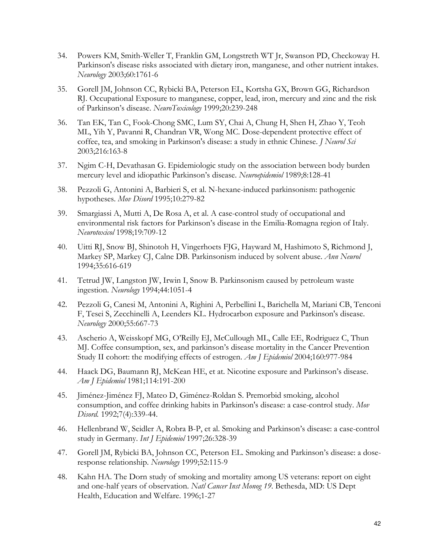- 34. Powers KM, Smith-Weller T, Franklin GM, Longstreth WT Jr, Swanson PD, Checkoway H. Parkinson's disease risks associated with dietary iron, manganese, and other nutrient intakes. *Neurology* 2003;60:1761-6
- 35. Gorell JM, Johnson CC, Rybicki BA, Peterson EL, Kortsha GX, Brown GG, Richardson RJ. Occupational Exposure to manganese, copper, lead, iron, mercury and zinc and the risk of Parkinson's disease. *NeuroToxicology* 1999;20:239-248
- 36. Tan EK, Tan C, Fook-Chong SMC, Lum SY, Chai A, Chung H, Shen H, Zhao Y, Teoh ML, Yih Y, Pavanni R, Chandran VR, Wong MC. Dose-dependent protective effect of coffee, tea, and smoking in Parkinson's disease: a study in ethnic Chinese. *J Neurol Sci* 2003;216:163-8
- 37. Ngim C-H, Devathasan G. Epidemiologic study on the association between body burden mercury level and idiopathic Parkinson's disease. *Neuroepidemiol* 1989;8:128-41
- 38. Pezzoli G, Antonini A, Barbieri S, et al. N-hexane-induced parkinsonism: pathogenic hypotheses. *Mov Disord* 1995;10:279-82
- 39. Smargiassi A, Mutti A, De Rosa A, et al. A case-control study of occupational and environmental risk factors for Parkinson's disease in the Emilia-Romagna region of Italy. *Neurotoxicol* 1998;19:709-12
- 40. Uitti RJ, Snow BJ, Shinotoh H, Vingerhoets FJG, Hayward M, Hashimoto S, Richmond J, Markey SP, Markey CJ, Calne DB. Parkinsonism induced by solvent abuse. *Ann Neurol* 1994;35:616-619
- 41. Tetrud JW, Langston JW, Irwin I, Snow B. Parkinsonism caused by petroleum waste ingestion. *Neurology* 1994;44:1051-4
- 42. Pezzoli G, Canesi M, Antonini A, Righini A, Perbellini L, Barichella M, Mariani CB, Tenconi F, Tesei S, Zecchinelli A, Leenders KL. Hydrocarbon exposure and Parkinson's disease. *Neurology* 2000;55:667-73
- 43. Ascherio A, Weisskopf MG, O'Reilly EJ, McCullough ML, Calle EE, Rodriguez C, Thun MJ. Coffee consumption, sex, and parkinson's disease mortality in the Cancer Prevention Study II cohort: the modifying effects of estrogen. *Am J Epidemiol* 2004;160:977-984
- 44. Haack DG, Baumann RJ, McKean HE, et at. Nicotine exposure and Parkinson's disease. *Am J Epidemiol* 1981;114:191-200
- 45. Jiménez-Jiménez FJ, Mateo D, Giménez-Roldan S. Premorbid smoking, alcohol consumption, and coffee drinking habits in Parkinson's disease: a case-control study. *Mov Disord.* 1992;7(4):339-44.
- 46. Hellenbrand W, Seidler A, Robra B-P, et al. Smoking and Parkinson's disease: a case-control study in Germany. *Int J Epidemiol* 1997;26:328-39
- 47. Gorell JM, Rybicki BA, Johnson CC, Peterson EL. Smoking and Parkinson's disease: a doseresponse relationship. *Neurology* 1999;52:115-9
- 48. Kahn HA. The Dorn study of smoking and mortality among US veterans: report on eight and one-half years of observation. *Natl Cancer Inst Monog 19*. Bethesda, MD: US Dept Health, Education and Welfare. 1996;1-27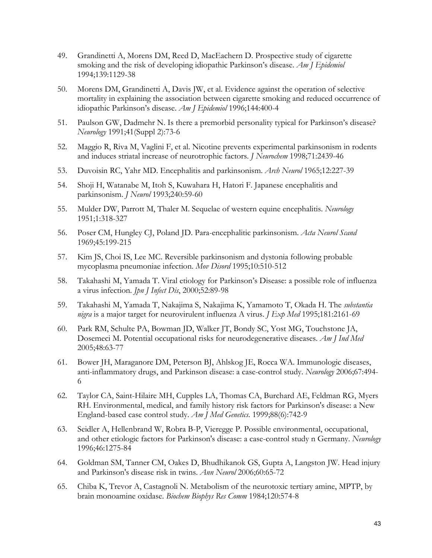- 49. Grandinetti A, Morens DM, Reed D, MacEachern D. Prospective study of cigarette smoking and the risk of developing idiopathic Parkinson's disease. *Am J Epidemiol* 1994;139:1129-38
- 50. Morens DM, Grandinetti A, Davis JW, et al. Evidence against the operation of selective mortality in explaining the association between cigarette smoking and reduced occurrence of idiopathic Parkinson's disease. *Am J Epidemiol* 1996;144:400-4
- 51. Paulson GW, Dadmehr N. Is there a premorbid personality typical for Parkinson's disease? *Neurology* 1991;41(Suppl 2):73-6
- 52. Maggio R, Riva M, Vaglini F, et al. Nicotine prevents experimental parkinsonism in rodents and induces striatal increase of neurotrophic factors. *J Neurochem* 1998;71:2439-46
- 53. Duvoisin RC, Yahr MD. Encephalitis and parkinsonism. *Arch Neurol* 1965;12:227-39
- 54. Shoji H, Watanabe M, Itoh S, Kuwahara H, Hatori F. Japanese encephalitis and parkinsonism. *J Neurol* 1993;240:59-60
- 55. Mulder DW, Parrott M, Thaler M. Sequelae of western equine encephalitis. *Neurology* 1951;1:318-327
- 56. Poser CM, Hungley CJ, Poland JD. Para-encephalitic parkinsonism. *Acta Neurol Scand* 1969;45:199-215
- 57. Kim JS, Choi IS, Lee MC. Reversible parkinsonism and dystonia following probable mycoplasma pneumoniae infection. *Mov Disord* 1995;10:510-512
- 58. Takahashi M, Yamada T. Viral etiology for Parkinson's Disease: a possible role of influenza a virus infection. *Jpn J Infect Dis*, 2000;52:89-98
- 59. Takahashi M, Yamada T, Nakajima S, Nakajima K, Yamamoto T, Okada H. The *substantia nigra* is a major target for neurovirulent influenza A virus. *J Exp Med* 1995;181:2161-69
- 60. Park RM, Schulte PA, Bowman JD, Walker JT, Bondy SC, Yost MG, Touchstone JA, Dosemeci M. Potential occupational risks for neurodegenerative diseases. *Am J Ind Med* 2005;48:63-77
- 61. Bower JH, Maraganore DM, Peterson BJ, Ahlskog JE, Rocca WA. Immunologic diseases, anti-inflammatory drugs, and Parkinson disease: a case-control study. *Neurology* 2006;67:494- 6
- 62. Taylor CA, Saint-Hilaire MH, Cupples LA, Thomas CA, Burchard AE, Feldman RG, Myers RH. Environmental, medical, and family history risk factors for Parkinson's disease: a New England-based case control study. *Am J Med Genetics*. 1999;88(6):742-9
- 63. Seidler A, Hellenbrand W, Robra B-P, Vieregge P. Possible environmental, occupational, and other etiologic factors for Parkinson's disease: a case-control study n Germany. *Neurology* 1996;46:1275-84
- 64. Goldman SM, Tanner CM, Oakes D, Bhudhikanok GS, Gupta A, Langston JW. Head injury and Parkinson's disease risk in twins. *Ann Neurol* 2006;60:65-72
- 65. Chiba K, Trevor A, Castagnoli N. Metabolism of the neurotoxic tertiary amine, MPTP, by brain monoamine oxidase. *Biochem Biophys Res Comm* 1984;120:574-8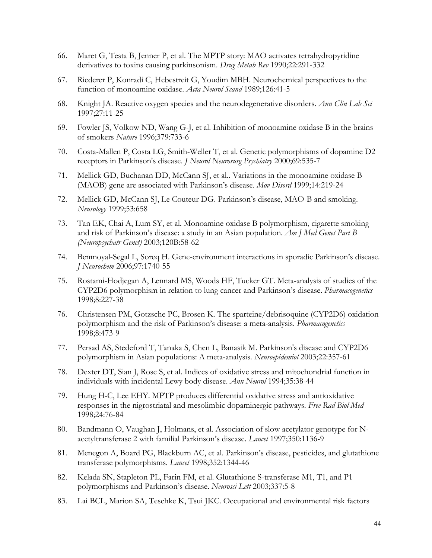- 66. Maret G, Testa B, Jenner P, et al. The MPTP story: MAO activates tetrahydropyridine derivatives to toxins causing parkinsonism. *Drug Metab Rev* 1990;22:291-332
- 67. Riederer P, Konradi C, Hebestreit G, Youdim MBH. Neurochemical perspectives to the function of monoamine oxidase. *Acta Neurol Scand* 1989;126:41-5
- 68. Knight JA. Reactive oxygen species and the neurodegenerative disorders. *Ann Clin Lab Sci*  1997;27:11-25
- 69. Fowler JS, Volkow ND, Wang G-J, et al. Inhibition of monoamine oxidase B in the brains of smokers *Nature* 1996;379:733-6
- 70. Costa-Mallen P, Costa LG, Smith-Weller T, et al. Genetic polymorphisms of dopamine D2 receptors in Parkinson's disease. *J Neurol Neurosurg Psychiatry* 2000;69:535-7
- 71. Mellick GD, Buchanan DD, McCann SJ, et al.. Variations in the monoamine oxidase B (MAOB) gene are associated with Parkinson's disease. *Mov Disord* 1999;14:219-24
- 72. Mellick GD, McCann SJ, Le Couteur DG. Parkinson's disease, MAO-B and smoking. *Neurology* 1999;53:658
- 73. Tan EK, Chai A, Lum SY, et al. Monoamine oxidase B polymorphism, cigarette smoking and risk of Parkinson's disease: a study in an Asian population. *Am J Med Genet Part B (Neuropsychatr Genet)* 2003;120B:58-62
- 74. Benmoyal-Segal L, Soreq H. Gene-environment interactions in sporadic Parkinson's disease. *J Neurochem* 2006;97:1740-55
- 75. Rostami-Hodjegan A, Lennard MS, Woods HF, Tucker GT. Meta-analysis of studies of the CYP2D6 polymorphism in relation to lung cancer and Parkinson's disease. *Pharmacogenetics* 1998;8:227-38
- 76. Christensen PM, Gotzsche PC, Brosen K. The sparteine/debrisoquine (CYP2D6) oxidation polymorphism and the risk of Parkinson's disease: a meta-analysis. *Pharmacogenetics* 1998;8:473-9
- 77. Persad AS, Stedeford T, Tanaka S, Chen L, Banasik M. Parkinson's disease and CYP2D6 polymorphism in Asian populations: A meta-analysis. *Neuroepidemiol* 2003;22:357-61
- 78. Dexter DT, Sian J, Rose S, et al. Indices of oxidative stress and mitochondrial function in individuals with incidental Lewy body disease. *Ann Neurol* 1994;35:38-44
- 79. Hung H-C, Lee EHY. MPTP produces differential oxidative stress and antioxidative responses in the nigrostriatal and mesolimbic dopaminergic pathways. *Free Rad Biol Med* 1998;24:76-84
- 80. Bandmann O, Vaughan J, Holmans, et al. Association of slow acetylator genotype for Nacetyltransferase 2 with familial Parkinson's disease. *Lancet* 1997;350:1136-9
- 81. Menegon A, Board PG, Blackburn AC, et al. Parkinson's disease, pesticides, and glutathione transferase polymorphisms. *Lancet* 1998;352:1344-46
- 82. Kelada SN, Stapleton PL, Farin FM, et al. Glutathione S-transferase M1, T1, and P1 polymorphisms and Parkinson's disease. *Neurosci Lett* 2003;337:5-8
- 83. Lai BCL, Marion SA, Teschke K, Tsui JKC. Occupational and environmental risk factors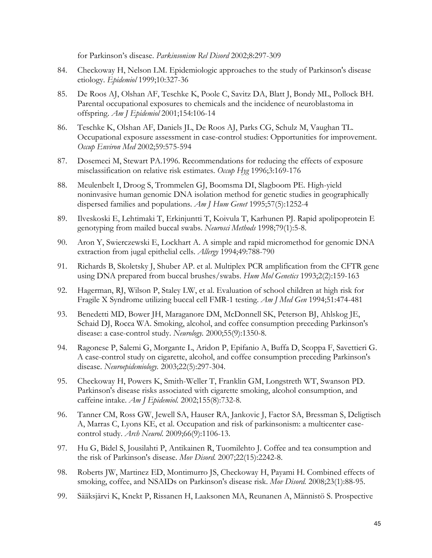for Parkinson's disease. *Parkinsonism Rel Disord* 2002;8:297-309

- 84. Checkoway H, Nelson LM. Epidemiologic approaches to the study of Parkinson's disease etiology. *Epidemiol* 1999;10:327-36
- 85. De Roos AJ, Olshan AF, Teschke K, Poole C, Savitz DA, Blatt J, Bondy ML, Pollock BH. Parental occupational exposures to chemicals and the incidence of neuroblastoma in offspring. *Am J Epidemiol* 2001;154:106-14
- 86. Teschke K, Olshan AF, Daniels JL, De Roos AJ, Parks CG, Schulz M, Vaughan TL. Occupational exposure assessment in case-control studies: Opportunities for improvement. *Occup Environ Med* 2002;59:575-594
- 87. Dosemeci M, Stewart PA.1996. Recommendations for reducing the effects of exposure misclassification on relative risk estimates. *Occup Hyg* 1996;3:169-176
- 88. Meulenbelt I, Droog S, Trommelen GJ, Boomsma DI, Slagboom PE. High-yield noninvasive human genomic DNA isolation method for genetic studies in geographically dispersed families and populations. *Am J Hum Genet* 1995;57(5):1252-4
- 89. Ilveskoski E, Lehtimaki T, Erkinjuntti T, Koivula T, Karhunen PJ. Rapid apolipoprotein E genotyping from mailed buccal swabs. *Neurosci Methods* 1998;79(1):5-8.
- 90. Aron Y, Swierczewski E, Lockhart A. A simple and rapid micromethod for genomic DNA extraction from jugal epithelial cells. *Allergy* 1994;49:788-790
- 91. Richards B, Skoletsky J, Shuber AP. et al. Multiplex PCR amplification from the CFTR gene using DNA prepared from buccal brushes/swabs. *Hum Mol Genetics* 1993;2(2):159-163
- 92. Hagerman, RJ, Wilson P, Staley LW, et al. Evaluation of school children at high risk for Fragile X Syndrome utilizing buccal cell FMR-1 testing. *Am J Med Gen* 1994;51:474-481
- 93. Benedetti MD, Bower JH, Maraganore DM, McDonnell SK, Peterson BJ, Ahlskog JE, Schaid DJ, Rocca WA. Smoking, alcohol, and coffee consumption preceding Parkinson's disease: a case-control study. *Neurology.* 2000;55(9):1350-8.
- 94. Ragonese P, Salemi G, Morgante L, Aridon P, Epifanio A, Buffa D, Scoppa F, Savettieri G. A case-control study on cigarette, alcohol, and coffee consumption preceding Parkinson's disease. *Neuroepidemiology.* 2003;22(5):297-304.
- 95. Checkoway H, Powers K, Smith-Weller T, Franklin GM, Longstreth WT, Swanson PD. Parkinson's disease risks associated with cigarette smoking, alcohol consumption, and caffeine intake. *Am J Epidemiol.* 2002;155(8):732-8.
- 96. Tanner CM, Ross GW, Jewell SA, Hauser RA, Jankovic J, Factor SA, Bressman S, Deligtisch A, Marras C, Lyons KE, et al. Occupation and risk of parkinsonism: a multicenter casecontrol study. *Arch Neurol*. 2009;66(9):1106-13.
- 97. Hu G, Bidel S, Jousilahti P, Antikainen R, Tuomilehto J. Coffee and tea consumption and the risk of Parkinson's disease. *Mov Disord.* 2007;22(15):2242-8.
- 98. Roberts JW, Martinez ED, Montimurro JS, Checkoway H, Payami H. Combined effects of smoking, coffee, and NSAIDs on Parkinson's disease risk. *Mov Disord.* 2008;23(1):88-95.
- 99. Sääksjärvi K, Knekt P, Rissanen H, Laaksonen MA, Reunanen A, Männistö S. Prospective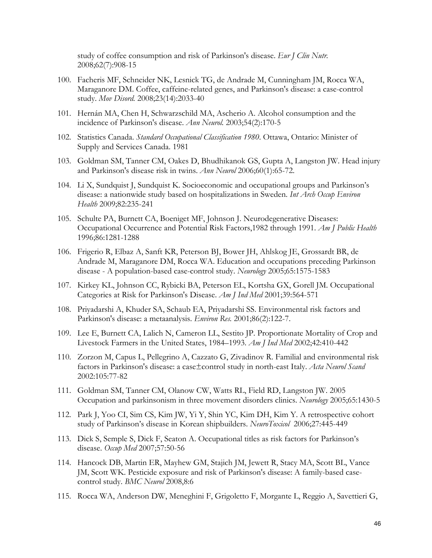study of coffee consumption and risk of Parkinson's disease. *Eur J Clin Nutr.* 2008;62(7):908-15

- 100. Facheris MF, Schneider NK, Lesnick TG, de Andrade M, Cunningham JM, Rocca WA, Maraganore DM. Coffee, caffeine-related genes, and Parkinson's disease: a case-control study. *Mov Disord.* 2008;23(14):2033-40
- 101. Hernán MA, Chen H, Schwarzschild MA, Ascherio A. Alcohol consumption and the incidence of Parkinson's disease. *Ann Neurol.* 2003;54(2):170-5
- 102. Statistics Canada. *Standard Occupational Classification 1980*. Ottawa, Ontario: Minister of Supply and Services Canada. 1981
- 103. Goldman SM, Tanner CM, Oakes D, Bhudhikanok GS, Gupta A, Langston JW. Head injury and Parkinson's disease risk in twins. *Ann Neurol* 2006;60(1):65-72.
- 104. Li X, Sundquist J, Sundquist K. Socioeconomic and occupational groups and Parkinson's disease: a nationwide study based on hospitalizations in Sweden. *Int Arch Occup Environ Health* 2009;82:235-241
- 105. Schulte PA, Burnett CA, Boeniget MF, Johnson J. Neurodegenerative Diseases: Occupational Occurrence and Potential Risk Factors,1982 through 1991. *Am J Public Health* 1996;86:1281-1288
- 106. Frigerio R, Elbaz A, Sanft KR, Peterson BJ, Bower JH, Ahlskog JE, Grossardt BR, de Andrade M, Maraganore DM, Rocca WA. Education and occupations preceding Parkinson disease - A population-based case-control study. *Neurology* 2005;65:1575-1583
- 107. Kirkey KL, Johnson CC, Rybicki BA, Peterson EL, Kortsha GX, Gorell JM. Occupational Categories at Risk for Parkinson's Disease. *Am J Ind Med* 2001;39:564-571
- 108. Priyadarshi A, Khuder SA, Schaub EA, Priyadarshi SS. Environmental risk factors and Parkinson's disease: a metaanalysis. *Environ Res.* 2001;86(2):122-7.
- 109. Lee E, Burnett CA, Lalich N, Cameron LL, Sestito JP. Proportionate Mortality of Crop and Livestock Farmers in the United States, 1984–1993. *Am J Ind Med* 2002;42:410-442
- 110. Zorzon M, Capus L, Pellegrino A, Cazzato G, Zivadinov R. Familial and environmental risk factors in Parkinson's disease: a case±control study in north-east Italy. *Acta Neurol Scand*  2002:105:77-82
- 111. Goldman SM, Tanner CM, Olanow CW, Watts RL, Field RD, Langston JW. 2005 Occupation and parkinsonism in three movement disorders clinics. *Neurology* 2005;65:1430-5
- 112. Park J, Yoo CI, Sim CS, Kim JW, Yi Y, Shin YC, Kim DH, Kim Y. A retrospective cohort study of Parkinson's disease in Korean shipbuilders. *NeuroToxicol* 2006;27:445-449
- 113. Dick S, Semple S, Dick F, Seaton A. Occupational titles as risk factors for Parkinson's disease. *Occup Med* 2007;57:50-56
- 114. Hancock DB, Martin ER, Mayhew GM, Stajich JM, Jewett R, Stacy MA, Scott BL, Vance JM, Scott WK. Pesticide exposure and risk of Parkinson's disease: A family-based casecontrol study. *BMC Neurol* 2008,8:6
- 115. Rocca WA, Anderson DW, Meneghini F, Grigoletto F, Morgante L, Reggio A, Savettieri G,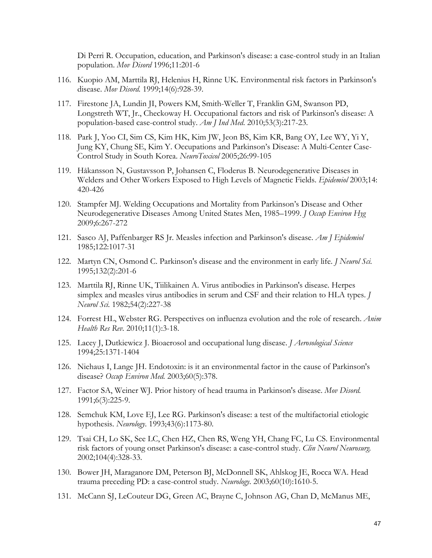Di Perri R. Occupation, education, and Parkinson's disease: a case-control study in an Italian population. *Mov Disord* 1996;11:201-6

- 116. Kuopio AM, Marttila RJ, Helenius H, Rinne UK. Environmental risk factors in Parkinson's disease. *Mov Disord.* 1999;14(6):928-39.
- 117. Firestone JA, Lundin JI, Powers KM, Smith-Weller T, Franklin GM, Swanson PD, Longstreth WT, Jr., Checkoway H. Occupational factors and risk of Parkinson's disease: A population-based case-control study. *Am J Ind Med*. 2010;53(3):217-23.
- 118. Park J, Yoo CI, Sim CS, Kim HK, Kim JW, Jeon BS, Kim KR, Bang OY, Lee WY, Yi Y, Jung KY, Chung SE, Kim Y. Occupations and Parkinson's Disease: A Multi-Center Case-Control Study in South Korea. *NeuroToxicol* 2005;26:99-105
- 119. Håkansson N, Gustavsson P, Johansen C, Floderus B. Neurodegenerative Diseases in Welders and Other Workers Exposed to High Levels of Magnetic Fields. *Epidemiol* 2003;14: 420-426
- 120. Stampfer MJ. Welding Occupations and Mortality from Parkinson's Disease and Other Neurodegenerative Diseases Among United States Men, 1985–1999. *J Occup Environ Hyg* 2009;6:267-272
- 121. Sasco AJ, Paffenbarger RS Jr. Measles infection and Parkinson's disease. *Am J Epidemiol*  1985;122:1017-31
- 122. Martyn CN, Osmond C. Parkinson's disease and the environment in early life. *J Neurol Sci.* 1995;132(2):201-6
- 123. Marttila RJ, Rinne UK, Tiilikainen A. Virus antibodies in Parkinson's disease. Herpes simplex and measles virus antibodies in serum and CSF and their relation to HLA types. *J Neurol Sci.* 1982;54(2):227-38
- 124. Forrest HL, Webster RG. Perspectives on influenza evolution and the role of research. *Anim Health Res Rev.* 2010;11(1):3-18.
- 125. Lacey J, Dutkiewicz J. Bioaerosol and occupational lung disease. *J Aerosological Science* 1994;25:1371-1404
- 126. Niehaus I, Lange JH. Endotoxin: is it an environmental factor in the cause of Parkinson's disease? *Occup Environ Med.* 2003;60(5):378.
- 127. Factor SA, Weiner WJ. Prior history of head trauma in Parkinson's disease. *Mov Disord.* 1991;6(3):225-9.
- 128. Semchuk KM, Love EJ, Lee RG. Parkinson's disease: a test of the multifactorial etiologic hypothesis. *Neurology*. 1993;43(6):1173-80.
- 129. Tsai CH, Lo SK, See LC, Chen HZ, Chen RS, Weng YH, Chang FC, Lu CS. Environmental risk factors of young onset Parkinson's disease: a case-control study. *Clin Neurol Neurosurg.* 2002;104(4):328-33.
- 130. Bower JH, Maraganore DM, Peterson BJ, McDonnell SK, Ahlskog JE, Rocca WA. Head trauma preceding PD: a case-control study. *Neurology*. 2003;60(10):1610-5.
- 131. McCann SJ, LeCouteur DG, Green AC, Brayne C, Johnson AG, Chan D, McManus ME,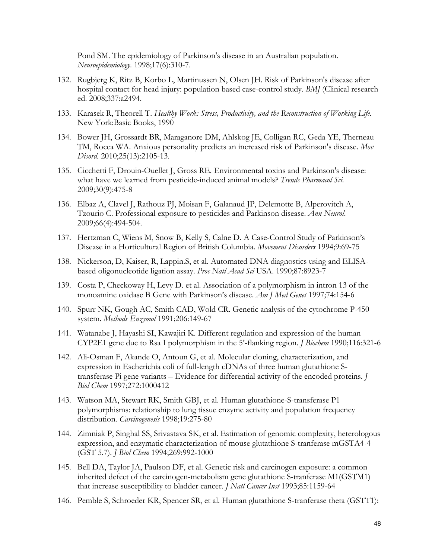Pond SM. The epidemiology of Parkinson's disease in an Australian population. *Neuroepidemiology*. 1998;17(6):310-7.

- 132. Rugbjerg K, Ritz B, Korbo L, Martinussen N, Olsen JH. Risk of Parkinson's disease after hospital contact for head injury: population based case-control study. *BMJ* (Clinical research ed. 2008;337:a2494.
- 133. Karasek R, Theorell T. *Healthy Work: Stress, Productivity, and the Reconstruction of Working Life*. New York:Basic Books, 1990
- 134. Bower JH, Grossardt BR, Maraganore DM, Ahlskog JE, Colligan RC, Geda YE, Therneau TM, Rocca WA. Anxious personality predicts an increased risk of Parkinson's disease. *Mov Disord.* 2010;25(13):2105-13.
- 135. Cicchetti F, Drouin-Ouellet J, Gross RE. Environmental toxins and Parkinson's disease: what have we learned from pesticide-induced animal models? *Trends Pharmacol Sci.*  2009;30(9):475-8
- 136. Elbaz A, Clavel J, Rathouz PJ, Moisan F, Galanaud JP, Delemotte B, Alperovitch A, Tzourio C. Professional exposure to pesticides and Parkinson disease. *Ann Neurol*. 2009;66(4):494-504.
- 137. Hertzman C, Wiens M, Snow B, Kelly S, Calne D. A Case-Control Study of Parkinson's Disease in a Horticultural Region of British Columbia. *Movement Disorders* 1994;9:69-75
- 138. Nickerson, D, Kaiser, R, Lappin.S, et al. Automated DNA diagnostics using and ELISAbased oligonucleotide ligation assay. *Proc Natl Acad Sci* USA. 1990;87:8923-7
- 139. Costa P, Checkoway H, Levy D. et al. Association of a polymorphism in intron 13 of the monoamine oxidase B Gene with Parkinson's disease. *Am J Med Genet* 1997;74:154-6
- 140. Spurr NK, Gough AC, Smith CAD, Wold CR. Genetic analysis of the cytochrome P-450 system. *Methods Enzymol* 1991;206:149-67
- 141. Watanabe J, Hayashi SI, Kawajiri K. Different regulation and expression of the human CYP2E1 gene due to Rsa I polymorphism in the 5'-flanking region. *J Biochem* 1990;116:321-6
- 142. Ali-Osman F, Akande O, Antoun G, et al. Molecular cloning, characterization, and expression in Escherichia coli of full-length cDNAs of three human glutathione Stransferase Pi gene variants – Evidence for differential activity of the encoded proteins. *J Biol Chem* 1997;272:1000412
- 143. Watson MA, Stewart RK, Smith GBJ, et al. Human glutathione-S-transferase P1 polymorphisms: relationship to lung tissue enzyme activity and population frequency distribution. *Carcinogenesis* 1998;19:275-80
- 144. Zimniak P, Singhal SS, Srivastava SK, et al. Estimation of genomic complexity, heterologous expression, and enzymatic characterization of mouse glutathione S-tranferase mGSTA4-4 (GST 5.7). *J Biol Chem* 1994;269:992-1000
- 145. Bell DA, Taylor JA, Paulson DF, et al. Genetic risk and carcinogen exposure: a common inherited defect of the carcinogen-metabolism gene glutathione S-tranferase M1(GSTM1) that increase susceptibility to bladder cancer. *J Natl Cancer Inst* 1993;85:1159-64
- 146. Pemble S, Schroeder KR, Spencer SR, et al. Human glutathione S-tranferase theta (GSTT1):